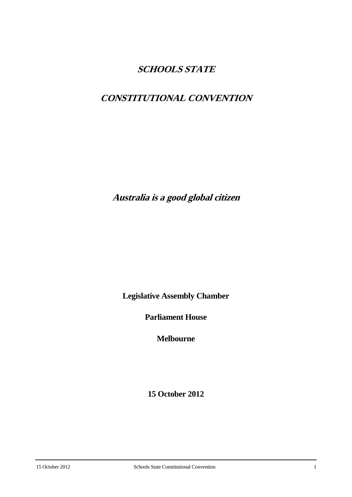## **SCHOOLS STATE**

# **CONSTITUTIONAL CONVENTION**

**Australia is <sup>a</sup> good global citizen**

**Legislative Assembly Chamber**

**Parliament House**

**Melbourne**

**15 October 2012**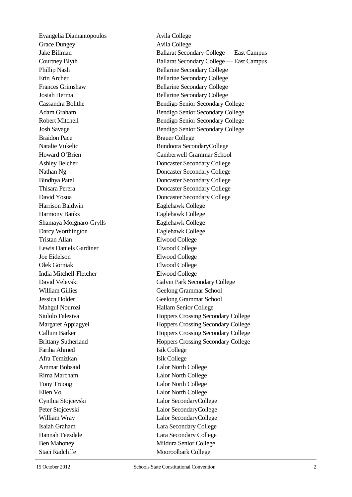Evangelia Diamantopoulos Avila College Grace Dungey Avila College Braidon Pace Brauer College Harrison Baldwin Eaglehawk College Harmony Banks Eaglehawk College Shamaya Moignaro-Grylls Eaglehawk College Darcy Worthington Eaglehawk College Tristan Allan Elwood College Lewis Daniels Gardiner Elwood College Joe Eidelson Elwood College Olek Gorniak Elwood College India Mitchell-Fletcher Elwood College William Gillies Geelong Grammar School Jessica Holder Geelong Grammar School Mahgul Nourozi Hallam Senior College Fariha Ahmed Isik College Afra Temizkan Isik College Ammar Bobsaid Lalor North College Rima Marcham Lalor North College Tony Truong Lalor North College Ellen Vo Lalor North College Cynthia Stojcevski Lalor SecondaryCollege Peter Stojcevski Lalor SecondaryCollege William Wray Lalor SecondaryCollege Isaiah Graham Lara Secondary College Hannah Teesdale Lara Secondary College Ben Mahoney Mildura Senior College

Jake Billman Ballarat Secondary College — East Campus Courtney Blyth Ballarat Secondary College — East Campus Phillip Nash Bellarine Secondary College Erin Archer Bellarine Secondary College Frances Grimshaw Bellarine Secondary College Josiah Herma Bellarine Secondary College Cassandra Bolithe Bendigo Senior Secondary College Adam Graham Bendigo Senior Secondary College Robert Mitchell Bendigo Senior Secondary College Josh Savage Bendigo Senior Secondary College Natalie Vukelic Bundoora SecondaryCollege Howard O'Brien Camberwell Grammar School Ashley Belcher Doncaster Secondary College Nathan Ng Doncaster Secondary College Bindhya Patel Doncaster Secondary College Thisara Perera **Doncaster Secondary College** David Yosua Doncaster Secondary College David Velevski Galvin Park Secondary College Siulolo Falesiya **Hoppers** Crossing Secondary College Margaret Appiagyei **Hoppers Crossing Secondary College** Callum Barker **Hoppers** Crossing Secondary College Brittany Sutherland Hoppers Crossing Secondary College Staci Radcliffe Mooroolbark College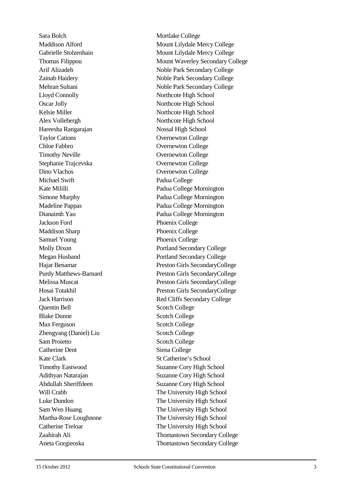Sara Bolch Mortlake College Thomas Filippou Lloyd Connolly Northcote High School Oscar Jolly Northcote High School Kelsie Miller Northcote High School Alex Vollebergh Northcote High School Hareesha Rangarajan Nossal High School Taylor Cations **Overnewton College** Chloe Fabbro Overnewton College Timothy Neville **Overnewton College** Stephanie Trajcevska Overnewton College Dino Vlachos Overnewton College Michael Swift Padua College Kate Mililli Padua College Mornington Simone Murphy Padua College Mornington Madeline Pappas Padua College Mornington Dianaimh Yau Padua College Mornington Jackson Ford Phoenix College Maddison Sharp Phoenix College Samuel Young Phoenix College Purdy Matthews Quentin Bell Scotch College Blake Dunne Scotch College Max Ferguson Scotch College Zhengyang (Daniel) Liu Scotch College Sam Proietto Scotch College Catherine Dent Siena College Kate Clark St Catherine's School Timothy Eastwood Suzanne Cory High School Adithyan Natarajan Suzanne Cory High School Abdullah Sheriffdeen Suzanne Cory High School Martha-Rose Loughnone

Maddison Alford Mount Lilydale Mercy College Gabrielle Stolzenhain Mount Lilydale Mercy College Mount Waverley Secondary College Arif Alizadeh Noble Park Secondary College Zainab Haidery Noble Park Secondary College Mehran Sultani Noble Park Secondary College Molly Dixon **Portland Secondary College** Megan Husband Portland Secondary College Hajar Benamar Preston Girls SecondaryCollege Preston Girls SecondaryCollege Melissa Muscat Preston Girls SecondaryCollege Hosai Totakhil Preston Girls SecondaryCollege Jack Harrison Red Cliffs Secondary College Will Crabb The University High School Luke Dundon The University High School Sam Wen Huang The University High School The University High School Catherine Treloar The University High School Zaahirah Ali Thomastown Secondary College Aneta Gorgieoska Thomastown Secondary College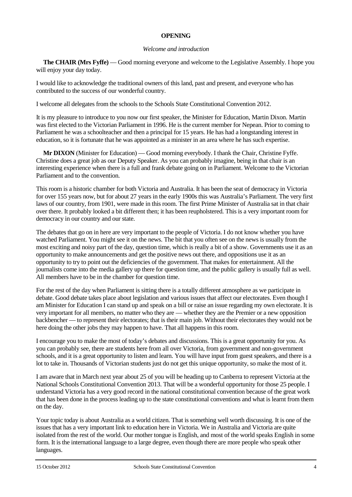#### **OPENING**

#### *Welcome and introduction*

**The CHAIR (Mrs Fyffe)** — Good morning everyone and welcome to the Legislative Assembly. I hope you will enjoy your day today.

I would like to acknowledge the traditional owners of this land, past and present, and everyone who has contributed to the success of our wonderful country.

I welcome all delegates from the schools to the Schools State Constitutional Convention 2012.

It is my pleasure to introduce to you now our first speaker, the Minister for Education, Martin Dixon. Martin was first elected to the Victorian Parliament in 1996. He is the current member for Nepean. Prior to coming to Parliament he was a schoolteacher and then a principal for 15 years. He has had a longstanding interest in education, so it is fortunate that he was appointed as a minister in an area where he has such expertise.

**Mr DIXON** (Minister for Education) — Good morning everybody. I thank the Chair, Christine Fyffe. Christine does a great job as our Deputy Speaker. As you can probably imagine, being in that chair is an interesting experience when there is a full and frank debate going on in Parliament. Welcome to the Victorian Parliament and to the convention.

This room is a historic chamber for both Victoria and Australia. It has been the seat of democracy in Victoria for over 155 years now, but for about 27 years in the early 1900s this was Australia's Parliament. The very first laws of our country, from 1901, were made in this room. The first Prime Minister of Australia sat in that chair over there. It probably looked a bit different then; it has been reupholstered. This is a very important room for democracy in our country and our state.

The debates that go on in here are very important to the people of Victoria. I do not know whether you have watched Parliament. You might see it on the news. The bit that you often see on the news is usually from the most exciting and noisy part of the day, question time, which is really a bit of a show. Governments use it as an opportunity to make announcements and get the positive news out there, and oppositions use it as an opportunity to try to point out the deficiencies of the government. That makes for entertainment. All the journalists come into the media gallery up there for question time, and the public gallery is usually full as well. All members have to be in the chamber for question time.

For the rest of the day when Parliament is sitting there is a totally different atmosphere as we participate in debate. Good debate takes place about legislation and various issues that affect our electorates. Even though I am Minister for Education I can stand up and speak on a bill or raise an issue regarding my own electorate. It is very important for all members, no matter who they are — whether they are the Premier or a new opposition backbencher — to represent their electorates; that is their main job. Without their electorates they would not be here doing the other jobs they may happen to have. That all happens in this room.

I encourage you to make the most of today's debates and discussions. This is a great opportunity for you. As you can probably see, there are students here from all over Victoria, from government and non-government schools, and it is a great opportunity to listen and learn. You will have input from guest speakers, and there is a lot to take in. Thousands of Victorian students just do not get this unique opportunity, so make the most of it.

I am aware that in March next year about 25 of you will be heading up to Canberra to represent Victoria at the National Schools Constitutional Convention 2013. That will be a wonderful opportunity for those 25 people. I understand Victoria has a very good record in the national constitutional convention because of the great work that has been done in the process leading up to the state constitutional conventions and what is learnt from them on the day.

Your topic today is about Australia as a world citizen. That is something well worth discussing. It is one of the issues that has a very important link to education here in Victoria. We in Australia and Victoria are quite isolated from the rest of the world. Our mother tongue is English, and most of the world speaks English in some form. It is the international language to a large degree, even though there are more people who speak other languages.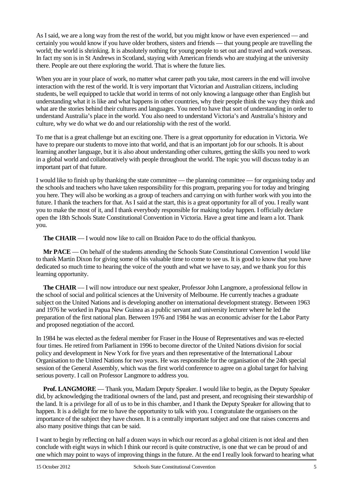As I said, we are a long way from the rest of the world, but you might know or have even experienced — and certainly you would know if you have older brothers, sisters and friends — that young people are travelling the world; the world is shrinking. It is absolutely nothing for young people to set out and travel and work overseas. In fact my son is in St Andrews in Scotland, staying with American friends who are studying at the university there. People are out there exploring the world. That is where the future lies.

When you are in your place of work, no matter what career path you take, most careers in the end will involve interaction with the rest of the world. It is very important that Victorian and Australian citizens, including students, be well equipped to tackle that world in terms of not only knowing a language other than English but understanding what it is like and what happens in other countries, why their people think the way they think and what are the stories behind their cultures and languages. You need to have that sort of understanding in order to understand Australia's place in the world. You also need to understand Victoria's and Australia's history and culture, why we do what we do and our relationship with the rest of the world.

To me that is a great challenge but an exciting one. There is a great opportunity for education in Victoria. We have to prepare our students to move into that world, and that is an important job for our schools. It is about learning another language, but it is also about understanding other cultures, getting the skills you need to work in a global world and collaboratively with people throughout the world. The topic you will discuss today is an important part of that future.

I would like to finish up by thanking the state committee — the planning committee — for organising today and the schools and teachers who have taken responsibility for this program, preparing you for today and bringing you here. They will also be working as a group of teachers and carrying on with further work with you into the future. I thank the teachers for that. As I said at the start, this is a great opportunity for all of you. I really want you to make the most of it, and I thank everybody responsible for making today happen. I officially declare open the 18th Schools State Constitutional Convention in Victoria. Have a great time and learn a lot. Thank you.

**The CHAIR** — I would now like to call on Braidon Pace to do the official thankyou.

**Mr PACE** — On behalf of the students attending the Schools State Constitutional Convention I would like to thank Martin Dixon for giving some of his valuable time to come to see us. It is good to know that you have dedicated so much time to hearing the voice of the youth and what we have to say, and we thank you for this learning opportunity.

**The CHAIR** — I will now introduce our next speaker, Professor John Langmore, a professional fellow in the school of social and political sciences at the University of Melbourne. He currently teaches a graduate subject on the United Nations and is developing another on international development strategy. Between 1963 and 1976 he worked in Papua New Guinea as a public servant and university lecturer where he led the preparation of the first national plan. Between 1976 and 1984 he was an economic adviser for the Labor Party and proposed negotiation of the accord.

In 1984 he was elected as the federal member for Fraser in the House of Representatives and was re-elected four times. He retired from Parliament in 1996 to become director of the United Nations division for social policy and development in New York for five years and then representative of the International Labour Organisation to the United Nations for two years. He was responsible for the organisation of the 24th special session of the General Assembly, which was the first world conference to agree on a global target for halving serious poverty. I call on Professor Langmore to address you.

**Prof. LANGMORE** — Thank you, Madam Deputy Speaker. I would like to begin, as the Deputy Speaker did, by acknowledging the traditional owners of the land, past and present, and recognising their stewardship of the land. It is a privilege for all of us to be in this chamber, and I thank the Deputy Speaker for allowing that to happen. It is a delight for me to have the opportunity to talk with you. I congratulate the organisers on the importance of the subject they have chosen. It is a centrally important subject and one that raises concerns and also many positive things that can be said.

I want to begin by reflecting on half a dozen ways in which our record as a global citizen is not ideal and then conclude with eight ways in which I think our record is quite constructive, is one that we can be proud of and one which may point to ways of improving things in the future. At the end I really look forward to hearing what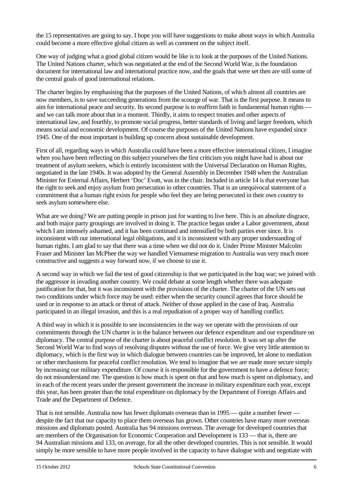the 15 representatives are going to say. I hope you will have suggestions to make about ways in which Australia could become a more effective global citizen as well as comment on the subject itself.

One way of judging what a good global citizen would be like is to look at the purposes of the United Nations. The United Nations charter, which was negotiated at the end of the Second World War, is the foundation document for international law and international practice now, and the goals that were set then are still some of the central goals of good international relations.

The charter begins by emphasising that the purposes of the United Nations, of which almost all countries are now members, is to save succeeding generations from the scourge of war. That is the first purpose. It means to aim for international peace and security. Its second purpose is to reaffirm faith in fundamental human rights and we can talk more about that in a moment. Thirdly, it aims to respect treaties and other aspects of international law, and fourthly, to promote social progress, better standards of living and larger freedom, which means social and economic development. Of course the purposes of the United Nations have expanded since 1945. One of the most important is building up concern about sustainable development.

First of all, regarding ways in which Australia could have been a more effective international citizen, I imagine when you have been reflecting on this subject yourselves the first criticism you might have had is about our treatment of asylum seekers, which is entirely inconsistent with the Universal Declaration on Human Rights, negotiated in the late 1940s. It was adopted by the General Assembly in December 1948 when the Australian Minister for External Affairs, Herbert 'Doc' Evatt, was in the chair. Included in article 14 is that everyone has the right to seek and enjoy asylum from persecution in other countries. That is an unequivocal statement of a commitment that a human right exists for people who feel they are being persecuted in their own country to seek asylum somewhere else.

What are we doing? We are putting people in prison just for wanting to live here. This is an absolute disgrace, and both major party groupings are involved in doing it. The practice began under a Labor government, about which I am intensely ashamed, and it has been continued and intensified by both parties ever since. It is inconsistent with our international legal obligations, and it is inconsistent with any proper understanding of human rights. I am glad to say that there was a time when we did not do it. Under Prime Minister Malcolm Fraser and Minister Ian McPhee the way we handled Vietnamese migration to Australia was very much more constructive and suggests a way forward now, if we choose to use it.

A second way in which we fail the test of good citizenship is that we participated in the Iraq war; we joined with the aggressor in invading another country. We could debate at some length whether there was adequate justification for that, but it was inconsistent with the provisions of the charter. The charter of the UN sets out two conditions under which force may be used: either when the security council agrees that force should be used or in response to an attack or threat of attack. Neither of those applied in the case of Iraq. Australia participated in an illegal invasion, and this is a real repudiation of a proper way of handling conflict.

A third way in which it is possible to see inconsistencies in the way we operate with the provisions of our commitments through the UN charter is in the balance between our defence expenditure and our expenditure on diplomacy. The central purpose of the charter is about peaceful conflict resolution. It was set up after the Second World War to find ways of resolving disputes without the use of force. We give very little attention to diplomacy, which is the first way in which dialogue between countries can be improved, let alone to mediation or other mechanisms for peaceful conflict resolution. We tend to imagine that we are made more secure simply by increasing our military expenditure. Of course it is responsible for the government to have a defence force; do not misunderstand me. The question is how much is spent on that and how much is spent on diplomacy, and in each of the recent years under the present government the increase in military expenditure each year, except this year, has been greater than the total expenditure on diplomacy by the Department of Foreign Affairs and Trade and the Department of Defence.

That is not sensible. Australia now has fewer diplomats overseas than in 1995 — quite a number fewer despite the fact that our capacity to place them overseas has grown. Other countries have many more overseas missions and diplomats posted. Australia has 94 missions overseas. The average for developed countries that are members of the Organisation for Economic Cooperation and Development is 133 — that is, there are 94 Australian missions and 133, on average, for all the other developed countries. This is not sensible. It would simply be more sensible to have more people involved in the capacity to have dialogue with and negotiate with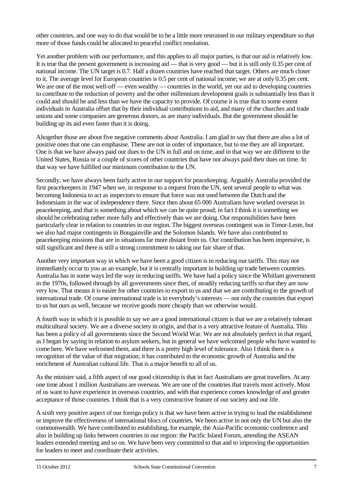other countries, and one way to do that would be to be a little more restrained in our military expenditure so that more of those funds could be allocated to peaceful conflict resolution.

Yet another problem with our performance, and this applies to all major parties, is that our aid is relatively low. It is true that the present government is increasing aid — that is very good — but it is still only 0.35 per cent of national income. The UN target is 0.7. Half a dozen countries have reached that target. Others are much closer to it. The average level for European countries is 0.5 per cent of national income; we are at only 0.35 per cent. We are one of the most well-off — even wealthy — countries in the world, yet our aid to developing countries to contribute to the reduction of poverty and the other millennium development goals is substantially less than it could and should be and less than we have the capacity to provide. Of course it is true that to some extent individuals in Australia offset that by their individual contributions to aid, and many of the churches and trade unions and some companies are generous donors, as are many individuals. But the government should be building up its aid even faster than it is doing.

Altogether those are about five negative comments about Australia. I am glad to say that there are also a lot of positive ones that one can emphasise. These are not in order of importance, but to me they are all important. One is that we have always paid our dues to the UN in full and on time, and in that way we are different to the United States, Russia or a couple of scores of other countries that have not always paid their dues on time. In that way we have fulfilled our minimum contribution to the UN.

Secondly, we have always been fairly active in our support for peacekeeping. Arguably Australia provided the first peacekeepers in 1947 when we, in response to a request from the UN, sent several people to what was becoming Indonesia to act as inspectors to ensure that force was not used between the Dutch and the Indonesians in the war of independence there. Since then about 65 000 Australians have worked overseas in peacekeeping, and that is something about which we can be quite proud; in fact I think it is something we should be celebrating rather more fully and effectively than we are doing. Our responsibilities have been particularly clear in relation to countries in our region. The biggest overseas contingent was in Timor-Leste, but we also had major contingents in Bougainville and the Solomon Islands. We have also contributed to peacekeeping missions that are in situations far more distant from us. Our contribution has been impressive, is still significant and there is still a strong commitment to taking our fair share of that.

Another very important way in which we have been a good citizen is in reducing our tariffs. This may not immediately occur to you as an example, but it is centrally important in building up trade between countries. Australia has in some ways led the way in reducing tariffs. We have had a policy since the Whitlam government in the 1970s, followed through by all governments since then, of steadily reducing tariffs so that they are now very low. That means it is easier for other countries to export to us and that we are contributing to the growth of international trade. Of course international trade is in everybody's interests — not only the countries that export to us but ours as well, because we receive goods more cheaply than we otherwise would.

A fourth way in which it is possible to say we are a good international citizen is that we are a relatively tolerant multicultural society. We are a diverse society in origin, and that is a very attractive feature of Australia. This has been a policy of all governments since the Second World War. We are not absolutely perfect in that regard, as I began by saying in relation to asylum seekers, but in general we have welcomed people who have wanted to come here. We have welcomed them, and there is a pretty high level of tolerance. Also I think there is a recognition of the value of that migration; it has contributed to the economic growth of Australia and the enrichment of Australian cultural life. That is a major benefit to all of us.

As the minister said, a fifth aspect of our good citizenship is that in fact Australians are great travellers. At any one time about 1 million Australians are overseas. We are one of the countries that travels most actively. Most of us want to have experience in overseas countries, and with that experience comes knowledge of and greater acceptance of those countries. I think that is a very constructive feature of our society and our life.

A sixth very positive aspect of our foreign policy is that we have been active in trying to lead the establishment or improve the effectiveness of international blocs of countries. We been active in not only the UN but also the commonwealth. We have contributed to establishing, for example, the Asia-Pacific economic conference and also in building up links between countries in our region: the Pacific Island Forum, attending the ASEAN leaders extended meeting and so on. We have been very committed to that and to improving the opportunities for leaders to meet and coordinate their activities.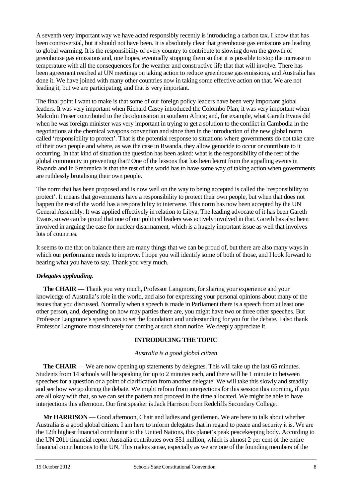A seventh very important way we have acted responsibly recently is introducing a carbon tax. I know that has been controversial, but it should not have been. It is absolutely clear that greenhouse gas emissions are leading to global warming. It is the responsibility of every country to contribute to slowing down the growth of greenhouse gas emissions and, one hopes, eventually stopping them so that it is possible to stop the increase in temperature with all the consequences for the weather and constructive life that that will involve. There has been agreement reached at UN meetings on taking action to reduce greenhouse gas emissions, and Australia has done it. We have joined with many other countries now in taking some effective action on that. We are not leading it, but we are participating, and that is very important.

The final point I want to make is that some of our foreign policy leaders have been very important global leaders. It was very important when Richard Casey introduced the Colombo Plan; it was very important when Malcolm Fraser contributed to the decolonisation in southern Africa; and, for example, what Gareth Evans did when he was foreign minister was very important in trying to get a solution to the conflict in Cambodia in the negotiations at the chemical weapons convention and since then in the introduction of the new global norm called 'responsibility to protect'. That is the potential response to situations where governments do not take care of their own people and where, as was the case in Rwanda, they allow genocide to occur or contribute to it occurring. In that kind of situation the question has been asked: what is the responsibility of the rest of the global community in preventing that? One of the lessons that has been learnt from the appalling events in Rwanda and in Srebrenica is that the rest of the world has to have some way of taking action when governments are ruthlessly brutalising their own people.

The norm that has been proposed and is now well on the way to being accepted is called the 'responsibility to protect'. It means that governments have a responsibility to protect their own people, but when that does not happen the rest of the world has a responsibility to intervene. This norm has now been accepted by the UN General Assembly. It was applied effectively in relation to Libya. The leading advocate of it has been Gareth Evans, so we can be proud that one of our political leaders was actively involved in that. Gareth has also been involved in arguing the case for nuclear disarmament, which is a hugely important issue as well that involves lots of countries.

It seems to me that on balance there are many things that we can be proud of, but there are also many ways in which our performance needs to improve. I hope you will identify some of both of those, and I look forward to hearing what you have to say. Thank you very much.

#### *Delegates applauding.*

**The CHAIR** — Thank you very much, Professor Langmore, for sharing your experience and your knowledge of Australia's role in the world, and also for expressing your personal opinions about many of the issues that you discussed. Normally when a speech is made in Parliament there is a speech from at least one other person, and, depending on how may parties there are, you might have two or three other speeches. But Professor Langmore's speech was to set the foundation and understanding for you for the debate. I also thank Professor Langmore most sincerely for coming at such short notice. We deeply appreciate it.

#### **INTRODUCING THE TOPIC**

#### *Australia is a good global citizen*

**The CHAIR** — We are now opening up statements by delegates. This will take up the last 65 minutes. Students from 14 schools will be speaking for up to 2 minutes each, and there will be 1 minute in between speeches for a question or a point of clarification from another delegate. We will take this slowly and steadily and see how we go during the debate. We might refrain from interjections for this session this morning, if you are all okay with that, so we can set the pattern and proceed in the time allocated. We might be able to have interjections this afternoon. Our first speaker is Jack Harrison from Redcliffs Secondary College.

**Mr HARRISON** — Good afternoon, Chair and ladies and gentlemen. We are here to talk about whether Australia is a good global citizen. I am here to inform delegates that in regard to peace and security it is. We are the 12th highest financial contributor to the United Nations, this planet's peak peacekeeping body. According to the UN 2011 financial report Australia contributes over \$51 million, which is almost 2 per cent of the entire financial contributions to the UN. This makes sense, especially as we are one of the founding members of the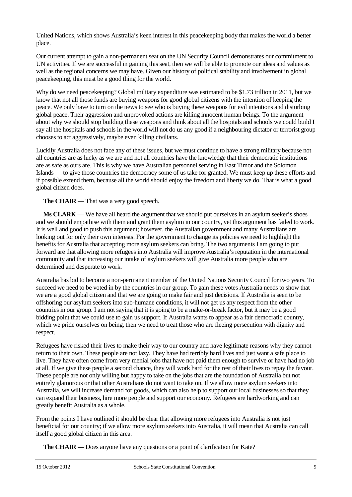United Nations, which shows Australia's keen interest in this peacekeeping body that makes the world a better place.

Our current attempt to gain a non-permanent seat on the UN Security Council demonstrates our commitment to UN activities. If we are successful in gaining this seat, then we will be able to promote our ideas and values as well as the regional concerns we may have. Given our history of political stability and involvement in global peacekeeping, this must be a good thing for the world.

Why do we need peacekeeping? Global military expenditure was estimated to be \$1.73 trillion in 2011, but we know that not all those funds are buying weapons for good global citizens with the intention of keeping the peace. We only have to turn on the news to see who is buying these weapons for evil intentions and disturbing global peace. Their aggression and unprovoked actions are killing innocent human beings. To the argument about why we should stop building these weapons and think about all the hospitals and schools we could build I say all the hospitals and schools in the world will not do us any good if a neighbouring dictator or terrorist group chooses to act aggressively, maybe even killing civilians.

Luckily Australia does not face any of these issues, but we must continue to have a strong military because not all countries are as lucky as we are and not all countries have the knowledge that their democratic institutions are as safe as ours are. This is why we have Australian personnel serving in East Timor and the Solomon Islands — to give those countries the democracy some of us take for granted. We must keep up these efforts and if possible extend them, because all the world should enjoy the freedom and liberty we do. That is what a good global citizen does.

**The CHAIR** — That was a very good speech.

**Ms CLARK** — We have all heard the argument that we should put ourselves in an asylum seeker's shoes and we should empathise with them and grant them asylum in our country, yet this argument has failed to work. It is well and good to push this argument; however, the Australian government and many Australians are looking out for only their own interests. For the government to change its policies we need to highlight the benefits for Australia that accepting more asylum seekers can bring. The two arguments I am going to put forward are that allowing more refugees into Australia will improve Australia's reputation in the international community and that increasing our intake of asylum seekers will give Australia more people who are determined and desperate to work.

Australia has bid to become a non-permanent member of the United Nations Security Council for two years. To succeed we need to be voted in by the countries in our group. To gain these votes Australia needs to show that we are a good global citizen and that we are going to make fair and just decisions. If Australia is seen to be offshoring our asylum seekers into sub-humane conditions, it will not get us any respect from the other countries in our group. I am not saying that it is going to be a make-or-break factor, but it may be a good bidding point that we could use to gain us support. If Australia wants to appear as a fair democratic country, which we pride ourselves on being, then we need to treat those who are fleeing persecution with dignity and respect.

Refugees have risked their lives to make their way to our country and have legitimate reasons why they cannot return to their own. These people are not lazy. They have had terribly hard lives and just want a safe place to live. They have often come from very menial jobs that have not paid them enough to survive or have had no job at all. If we give these people a second chance, they will work hard for the rest of their lives to repay the favour. These people are not only willing but happy to take on the jobs that are the foundation of Australia but not entirely glamorous or that other Australians do not want to take on. If we allow more asylum seekers into Australia, we will increase demand for goods, which can also help to support our local businesses so that they can expand their business, hire more people and support our economy. Refugees are hardworking and can greatly benefit Australia as a whole.

From the points I have outlined it should be clear that allowing more refugees into Australia is not just beneficial for our country; if we allow more asylum seekers into Australia, it will mean that Australia can call itself a good global citizen in this area.

**The CHAIR** — Does anyone have any questions or a point of clarification for Kate?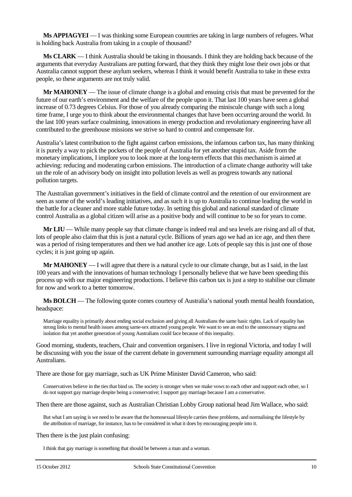**Ms APPIAGYEI** — I was thinking some European countries are taking in large numbers of refugees. What is holding back Australia from taking in a couple of thousand?

**Ms CLARK** — I think Australia should be taking in thousands. I think they are holding back because of the arguments that everyday Australians are putting forward, that they think they might lose their own jobs or that Australia cannot support these asylum seekers, whereas I think it would benefit Australia to take in these extra people, so these arguments are not truly valid.

**Mr MAHONEY** — The issue of climate change is a global and ensuing crisis that must be prevented for the future of our earth's environment and the welfare of the people upon it. That last 100 years have seen a global increase of 0.73 degrees Celsius. For those of you already comparing the miniscule change with such a long time frame, I urge you to think about the environmental changes that have been occurring around the world. In the last 100 years surface coalmining, innovations in energy production and revolutionary engineering have all contributed to the greenhouse missions we strive so hard to control and compensate for.

Australia's latest contribution to the fight against carbon emissions, the infamous carbon tax, has many thinking it is purely a way to pick the pockets of the people of Australia for yet another stupid tax. Aside from the monetary implications, I implore you to look more at the long-term effects that this mechanism is aimed at achieving: reducing and moderating carbon emissions. The introduction of a climate change authority will take un the role of an advisory body on insight into pollution levels as well as progress towards any national pollution targets.

The Australian government's initiatives in the field of climate control and the retention of our environment are seen as some of the world's leading initiatives, and as such it is up to Australia to continue leading the world in the battle for a cleaner and more stable future today. In setting this global and national standard of climate control Australia as a global citizen will arise as a positive body and will continue to be so for years to come.

**Mr LIU** — While many people say that climate change is indeed real and sea levels are rising and all of that, lots of people also claim that this is just a natural cycle. Billions of years ago we had an ice age, and then there was a period of rising temperatures and then we had another ice age. Lots of people say this is just one of those cycles; it is just going up again.

**Mr MAHONEY** — I will agree that there is a natural cycle to our climate change, but as I said, in the last 100 years and with the innovations of human technology I personally believe that we have been speeding this process up with our major engineering productions. I believe this carbon tax is just a step to stabilise our climate for now and work to a better tomorrow.

**Ms BOLCH** — The following quote comes courtesy of Australia's national youth mental health foundation, headspace:

Marriage equality is primarily about ending social exclusion and giving all Australians the same basic rights. Lack of equality has strong links to mental health issues among same-sex attracted young people. We want to see an end to the unnecessary stigma and isolation that yet another generation of young Australians could face because of this inequality.

Good morning, students, teachers, Chair and convention organisers. I live in regional Victoria, and today I will be discussing with you the issue of the current debate in government surrounding marriage equality amongst all Australians.

There are those for gay marriage, such as UK Prime Minister David Cameron, who said:

Conservatives believe in the ties that bind us. The society is stronger when we make vows to each other and support each other, so I do not support gay marriage despite being a conservative; I support gay marriage because I am a conservative.

Then there are those against, such as Australian Christian Lobby Group national head Jim Wallace, who said:

But what I am saying is we need to be aware that the homosexual lifestyle carries these problems, and normalising the lifestyle by the attribution of marriage, for instance, has to be considered in what it does by encouraging people into it.

Then there is the just plain confusing:

I think that gay marriage is something that should be between a man and a woman.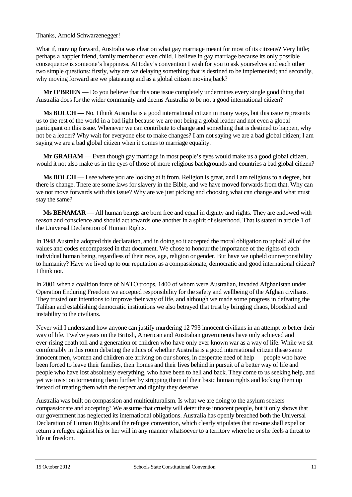#### Thanks, Arnold Schwarzenegger!

What if, moving forward, Australia was clear on what gay marriage meant for most of its citizens? Very little; perhaps a happier friend, family member or even child. I believe in gay marriage because its only possible consequence is someone's happiness. At today's convention I wish for you to ask yourselves and each other two simple questions: firstly, why are we delaying something that is destined to be implemented; and secondly, why moving forward are we plateauing and as a global citizen moving back?

**Mr O'BRIEN** — Do you believe that this one issue completely undermines every single good thing that Australia does for the wider community and deems Australia to be not a good international citizen?

**Ms BOLCH** — No. I think Australia is a good international citizen in many ways, but this issue represents us to the rest of the world in a bad light because we are not being a global leader and not even a global participant on this issue. Whenever we can contribute to change and something that is destined to happen, why not be a leader? Why wait for everyone else to make changes? I am not saying we are a bad global citizen; I am saying we are a bad global citizen when it comes to marriage equality.

**Mr GRAHAM** — Even though gay marriage in most people's eyes would make us a good global citizen, would it not also make us in the eyes of those of more religious backgrounds and countries a bad global citizen?

**Ms BOLCH** — I see where you are looking at it from. Religion is great, and I am religious to a degree, but there is change. There are some laws for slavery in the Bible, and we have moved forwards from that. Why can we not move forwards with this issue? Why are we just picking and choosing what can change and what must stay the same?

**Ms BENAMAR** — All human beings are born free and equal in dignity and rights. They are endowed with reason and conscience and should act towards one another in a spirit of sisterhood. That is stated in article 1 of the Universal Declaration of Human Rights.

In 1948 Australia adopted this declaration, and in doing so it accepted the moral obligation to uphold all of the values and codes encompassed in that document. We chose to honour the importance of the rights of each individual human being, regardless of their race, age, religion or gender. But have we upheld our responsibility to humanity? Have we lived up to our reputation as a compassionate, democratic and good international citizen? I think not.

In 2001 when a coalition force of NATO troops, 1400 of whom were Australian, invaded Afghanistan under Operation Enduring Freedom we accepted responsibility for the safety and wellbeing of the Afghan civilians. They trusted our intentions to improve their way of life, and although we made some progress in defeating the Taliban and establishing democratic institutions we also betrayed that trust by bringing chaos, bloodshed and instability to the civilians.

Never will I understand how anyone can justify murdering 12 793 innocent civilians in an attempt to better their way of life. Twelve years on the British, American and Australian governments have only achieved and ever-rising death toll and a generation of children who have only ever known war as a way of life. While we sit comfortably in this room debating the ethics of whether Australia is a good international citizen these same innocent men, women and children are arriving on our shores, in desperate need of help — people who have been forced to leave their families, their homes and their lives behind in pursuit of a better way of life and people who have lost absolutely everything, who have been to hell and back. They come to us seeking help, and yet we insist on tormenting them further by stripping them of their basic human rights and locking them up instead of treating them with the respect and dignity they deserve.

Australia was built on compassion and multiculturalism. Is what we are doing to the asylum seekers compassionate and accepting? We assume that cruelty will deter these innocent people, but it only shows that our government has neglected its international obligations. Australia has openly breached both the Universal Declaration of Human Rights and the refugee convention, which clearly stipulates that no-one shall expel or return a refugee against his or her will in any manner whatsoever to a territory where he or she feels a threat to life or freedom.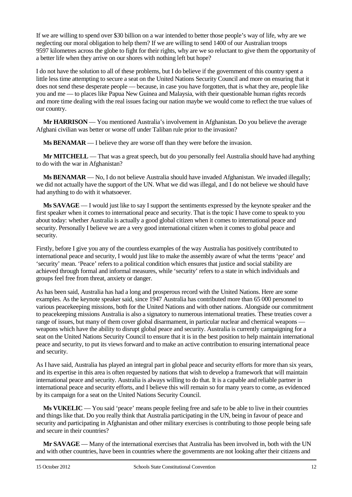If we are willing to spend over \$30 billion on a war intended to better those people's way of life, why are we neglecting our moral obligation to help them? If we are willing to send 1400 of our Australian troops 9597 kilometres across the globe to fight for their rights, why are we so reluctant to give them the opportunity of a better life when they arrive on our shores with nothing left but hope?

I do not have the solution to all of these problems, but I do believe if the government of this country spent a little less time attempting to secure a seat on the United Nations Security Council and more on ensuring that it does not send these desperate people — because, in case you have forgotten, that is what they are, people like you and me — to places like Papua New Guinea and Malaysia, with their questionable human rights records and more time dealing with the real issues facing our nation maybe we would come to reflect the true values of our country.

**Mr HARRISON** — You mentioned Australia's involvement in Afghanistan. Do you believe the average Afghani civilian was better or worse off under Taliban rule prior to the invasion?

**Ms BENAMAR** — I believe they are worse off than they were before the invasion.

**Mr MITCHELL** — That was a great speech, but do you personally feel Australia should have had anything to do with the war in Afghanistan?

**Ms BENAMAR** — No, I do not believe Australia should have invaded Afghanistan. We invaded illegally; we did not actually have the support of the UN. What we did was illegal, and I do not believe we should have had anything to do with it whatsoever.

**Ms SAVAGE** — I would just like to say I support the sentiments expressed by the keynote speaker and the first speaker when it comes to international peace and security. That is the topic I have come to speak to you about today: whether Australia is actually a good global citizen when it comes to international peace and security. Personally I believe we are a very good international citizen when it comes to global peace and security.

Firstly, before I give you any of the countless examples of the way Australia has positively contributed to international peace and security, I would just like to make the assembly aware of what the terms 'peace' and 'security' mean. 'Peace' refers to a political condition which ensures that justice and social stability are achieved through formal and informal measures, while 'security' refers to a state in which individuals and groups feel free from threat, anxiety or danger.

As has been said, Australia has had a long and prosperous record with the United Nations. Here are some examples. As the keynote speaker said, since 1947 Australia has contributed more than 65 000 personnel to various peacekeeping missions, both for the United Nations and with other nations. Alongside our commitment to peacekeeping missions Australia is also a signatory to numerous international treaties. These treaties cover a range of issues, but many of them cover global disarmament, in particular nuclear and chemical weapons weapons which have the ability to disrupt global peace and security. Australia is currently campaigning for a seat on the United Nations Security Council to ensure that it is in the best position to help maintain international peace and security, to put its views forward and to make an active contribution to ensuring international peace and security.

As I have said, Australia has played an integral part in global peace and security efforts for more than six years, and its expertise in this area is often requested by nations that wish to develop a framework that will maintain international peace and security. Australia is always willing to do that. It is a capable and reliable partner in international peace and security efforts, and I believe this will remain so for many years to come, as evidenced by its campaign for a seat on the United Nations Security Council.

**Ms VUKELIC** — You said 'peace' means people feeling free and safe to be able to live in their countries and things like that. Do you really think that Australia participating in the UN, being in favour of peace and security and participating in Afghanistan and other military exercises is contributing to those people being safe and secure in their countries?

**Mr SAVAGE** — Many of the international exercises that Australia has been involved in, both with the UN and with other countries, have been in countries where the governments are not looking after their citizens and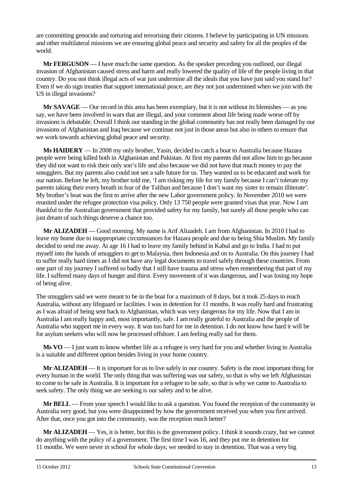are committing genocide and torturing and terrorising their citizens. I believe by participating in UN missions and other multilateral missions we are ensuring global peace and security and safety for all the peoples of the world.

**Mr FERGUSON** — I have much the same question. As the speaker preceding you outlined, our illegal invasion of Afghanistan caused stress and harm and really lowered the quality of life of the people living in that country. Do you not think illegal acts of war just undermine all the ideals that you have just said you stand for? Even if we do sign treaties that support international peace, are they not just undermined when we join with the US in illegal invasions?

**Mr SAVAGE** — Our record in this area has been exemplary, but it is not without its blemishes — as you say, we have been involved in wars that are illegal, and your comment about life being made worse off by invasions is debatable. Overall I think our standing in the global community has not really been damaged by our invasions of Afghanistan and Iraq because we continue not just in those areas but also in others to ensure that we work towards achieving global peace and security.

**Ms HAIDERY** — In 2008 my only brother, Yasin, decided to catch a boat to Australia because Hazara people were being killed both in Afghanistan and Pakistan. At first my parents did not allow him to go because they did not want to risk their only son's life and also because we did not have that much money to pay the smugglers. But my parents also could not see a safe future for us. They wanted us to be educated and work for our nation. Before he left, my brother told me, 'I am risking my life for my family because I can't tolerate my parents taking their every breath in fear of the Taliban and because I don't want my sister to remain illiterate'. My brother's boat was the first to arrive after the new Labor government policy. In November 2010 we were reunited under the refugee protection visa policy. Only 13 750 people were granted visas that year. Now I am thankful to the Australian government that provided safety for my family, but surely all those people who can just dream of such things deserve a chance too.

**Mr ALIZADEH** — Good morning. My name is Arif Alizadeh. I am from Afghanistan. In 2010 I had to leave my home due to inappropriate circumstances for Hazara people and due to being Shia Muslim. My family decided to send me away. At age 16 I had to leave my family behind in Kabul and go to India. I had to put myself into the hands of smugglers to get to Malaysia, then Indonesia and on to Australia. On this journey I had to suffer really hard times as I did not have any legal documents to travel safely through these countries. From one part of my journey I suffered so badly that I still have trauma and stress when remembering that part of my life. I suffered many days of hunger and thirst. Every movement of it was dangerous, and I was losing my hope of being alive.

The smugglers said we were meant to be in the boat for a maximum of 8 days, but it took 25 days to reach Australia, without any lifeguard or facilities. I was in detention for 11 months. It was really hard and frustrating as I was afraid of being sent back to Afghanistan, which was very dangerous for my life. Now that I am in Australia I am really happy and, most importantly, safe. I am really grateful to Australia and the people of Australia who support me in every way. It was too hard for me in detention. I do not know how hard it will be for asylum seekers who will now be processed offshore. I am feeling really sad for them.

**Ms VO** — I just want to know whether life as a refugee is very hard for you and whether living in Australia is a suitable and different option besides living in your home country.

**Mr ALIZADEH** — It is important for us to live safely in our country. Safety is the most important thing for every human in the world. The only thing that was suffering was our safety, so that is why we left Afghanistan to come to be safe in Australia. It is important for a refugee to be safe, so that is why we came to Australia to seek safety. The only thing we are seeking is our safety and to be alive.

**Mr BELL** — From your speech I would like to ask a question. You found the reception of the community in Australia very good, but you were disappointed by how the government received you when you first arrived. After that, once you got into the community, was the reception much better?

**Mr ALIZADEH** — Yes, it is better, but this is the government policy. I think it sounds crazy, but we cannot do anything with the policy of a government. The first time I was 16, and they put me in detention for 11 months. We were never in school for whole days; we needed to stay in detention. That was a very big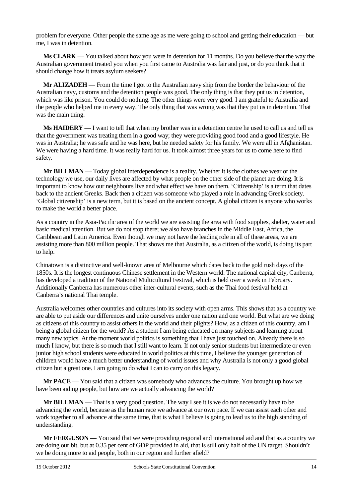problem for everyone. Other people the same age as me were going to school and getting their education — but me, I was in detention.

**Ms CLARK** — You talked about how you were in detention for 11 months. Do you believe that the way the Australian government treated you when you first came to Australia was fair and just, or do you think that it should change how it treats asylum seekers?

**Mr ALIZADEH** — From the time I got to the Australian navy ship from the border the behaviour of the Australian navy, customs and the detention people was good. The only thing is that they put us in detention, which was like prison. You could do nothing. The other things were very good. I am grateful to Australia and the people who helped me in every way. The only thing that was wrong was that they put us in detention. That was the main thing.

**Ms HAIDERY** — I want to tell that when my brother was in a detention centre he used to call us and tell us that the government was treating them in a good way; they were providing good food and a good lifestyle. He was in Australia; he was safe and he was here, but he needed safety for his family. We were all in Afghanistan. We were having a hard time. It was really hard for us. It took almost three years for us to come here to find safety.

**Mr BILLMAN** — Today global interdependence is a reality. Whether it is the clothes we wear or the technology we use, our daily lives are affected by what people on the other side of the planet are doing. It is important to know how our neighbours live and what effect we have on them. 'Citizenship' is a term that dates back to the ancient Greeks. Back then a citizen was someone who played a role in advancing Greek society. 'Global citizenship' is a new term, but it is based on the ancient concept. A global citizen is anyone who works to make the world a better place.

As a country in the Asia-Pacific area of the world we are assisting the area with food supplies, shelter, water and basic medical attention. But we do not stop there; we also have branches in the Middle East, Africa, the Caribbean and Latin America. Even though we may not have the leading role in all of these areas, we are assisting more than 800 million people. That shows me that Australia, as a citizen of the world, is doing its part to help.

Chinatown is a distinctive and well-known area of Melbourne which dates back to the gold rush days of the 1850s. It is the longest continuous Chinese settlement in the Western world. The national capital city, Canberra, has developed a tradition of the National Multicultural Festival, which is held over a week in February. Additionally Canberra has numerous other inter-cultural events, such as the Thai food festival held at Canberra's national Thai temple.

Australia welcomes other countries and cultures into its society with open arms. This shows that as a country we are able to put aside our differences and unite ourselves under one nation and one world. But what are we doing as citizens of this country to assist others in the world and their plights? How, as a citizen of this country, am I being a global citizen for the world? As a student I am being educated on many subjects and learning about many new topics. At the moment world politics is something that I have just touched on. Already there is so much I know, but there is so much that I still want to learn. If not only senior students but intermediate or even junior high school students were educated in world politics at this time, I believe the younger generation of children would have a much better understanding of world issues and why Australia is not only a good global citizen but a great one. I am going to do what I can to carry on this legacy.

**Mr PACE** — You said that a citizen was somebody who advances the culture. You brought up how we have been aiding people, but how are we actually advancing the world?

**Mr BILLMAN** — That is a very good question. The way I see it is we do not necessarily have to be advancing the world, because as the human race we advance at our own pace. If we can assist each other and work together to all advance at the same time, that is what I believe is going to lead us to the high standing of understanding.

**Mr FERGUSON** — You said that we were providing regional and international aid and that as a country we are doing our bit, but at 0.35 per cent of GDP provided in aid, that is still only half of the UN target. Shouldn't we be doing more to aid people, both in our region and further afield?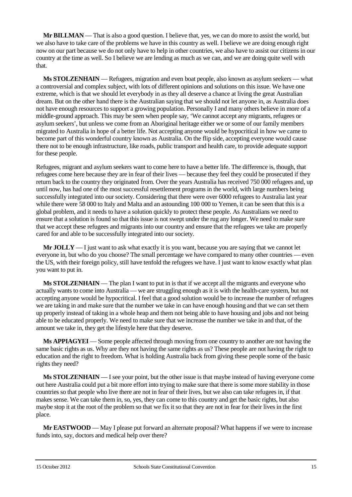**Mr BILLMAN** — That is also a good question. I believe that, yes, we can do more to assist the world, but we also have to take care of the problems we have in this country as well. I believe we are doing enough right now on our part because we do not only have to help in other countries, we also have to assist our citizens in our country at the time as well. So I believe we are lending as much as we can, and we are doing quite well with that.

**Ms STOLZENHAIN** — Refugees, migration and even boat people, also known as asylum seekers — what a controversial and complex subject, with lots of different opinions and solutions on this issue. We have one extreme, which is that we should let everybody in as they all deserve a chance at living the great Australian dream. But on the other hand there is the Australian saying that we should not let anyone in, as Australia does not have enough resources to support a growing population. Personally I and many others believe in more of a middle-ground approach. This may be seen when people say, 'We cannot accept any migrants, refugees or asylum seekers', but unless we come from an Aboriginal heritage either we or some of our family members migrated to Australia in hope of a better life. Not accepting anyone would be hypocritical in how we came to become part of this wonderful country known as Australia. On the flip side, accepting everyone would cause there not to be enough infrastructure, like roads, public transport and health care, to provide adequate support for these people.

Refugees, migrant and asylum seekers want to come here to have a better life. The difference is, though, that refugees come here because they are in fear of their lives — because they feel they could be prosecuted if they return back to the country they originated from. Over the years Australia has received 750 000 refugees and, up until now, has had one of the most successful resettlement programs in the world, with large numbers being successfully integrated into our society. Considering that there were over 6000 refugees to Australia last year while there were 58 000 to Italy and Malta and an astounding 100 000 to Yemen, it can be seen that this is a global problem, and it needs to have a solution quickly to protect these people. As Australians we need to ensure that a solution is found so that this issue is not swept under the rug any longer. We need to make sure that we accept these refugees and migrants into our country and ensure that the refugees we take are properly cared for and able to be successfully integrated into our society.

**Mr JOLLY** — I just want to ask what exactly it is you want, because you are saying that we cannot let everyone in, but who do you choose? The small percentage we have compared to many other countries — even the US, with their foreign policy, still have tenfold the refugees we have. I just want to know exactly what plan you want to put in.

**Ms STOLZENHAIN** — The plan I want to put in is that if we accept all the migrants and everyone who actually wants to come into Australia — we are struggling enough as it is with the health-care system, but not accepting anyone would be hypocritical. I feel that a good solution would be to increase the number of refugees we are taking in and make sure that the number we take in can have enough housing and that we can set them up properly instead of taking in a whole heap and them not being able to have housing and jobs and not being able to be educated properly. We need to make sure that we increase the number we take in and that, of the amount we take in, they get the lifestyle here that they deserve.

**Ms APPIAGYEI** — Some people affected through moving from one country to another are not having the same basic rights as us. Why are they not having the same rights as us? These people are not having the right to education and the right to freedom. What is holding Australia back from giving these people some of the basic rights they need?

**Ms STOLZENHAIN** — I see your point, but the other issue is that maybe instead of having everyone come out here Australia could put a bit more effort into trying to make sure that there is some more stability in those countries so that people who live there are not in fear of their lives, but we also can take refugees in, if that makes sense. We can take them in, so, yes, they can come to this country and get the basic rights, but also maybe stop it at the root of the problem so that we fix it so that they are not in fear for their lives in the first place.

**Mr EASTWOOD** — May I please put forward an alternate proposal? What happens if we were to increase funds into, say, doctors and medical help over there?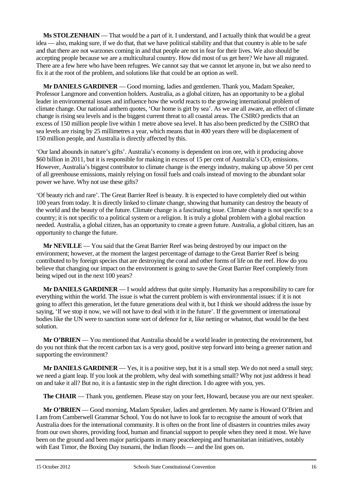**Ms STOLZENHAIN** — That would be a part of it. I understand, and I actually think that would be a great idea — also, making sure, if we do that, that we have political stability and that that country is able to be safe and that there are not warzones coming in and that people are not in fear for their lives. We also should be accepting people because we are a multicultural country. How did most of us get here? We have all migrated. There are a few here who have been refugees. We cannot say that we cannot let anyone in, but we also need to fix it at the root of the problem, and solutions like that could be an option as well.

**Mr DANIELS GARDINER** — Good morning, ladies and gentlemen. Thank you, Madam Speaker, Professor Langmore and convention holders. Australia, as a global citizen, has an opportunity to be a global leader in environmental issues and influence how the world reacts to the growing international problem of climate change. Our national anthem quotes, 'Our home is girt by sea'. As we are all aware, an effect of climate change is rising sea levels and is the biggest current threat to all coastal areas. The CSIRO predicts that an excess of 150 million people live within 1 metre above sea level. It has also been predicted by the CSIRO that sea levels are rising by 25 millimetres a year, which means that in 400 years there will be displacement of 150 million people, and Australia is directly affected by this.

'Our land abounds in nature's gifts'. Australia's economy is dependent on iron ore, with it producing above \$60 billion in 2011, but it is responsible for making in excess of 15 per cent of Australia's  $CO<sub>2</sub>$  emissions. However, Australia's biggest contributor to climate change is the energy industry, making up above 50 per cent of all greenhouse emissions, mainly relying on fossil fuels and coals instead of moving to the abundant solar power we have. Why not use these gifts?

'Of beauty rich and rare'. The Great Barrier Reef is beauty. It is expected to have completely died out within 100 years from today. It is directly linked to climate change, showing that humanity can destroy the beauty of the world and the beauty of the future. Climate change is a fascinating issue. Climate change is not specific to a country; it is not specific to a political system or a religion. It is truly a global problem with a global reaction needed. Australia, a global citizen, has an opportunity to create a green future. Australia, a global citizen, has an opportunity to change the future.

**Mr NEVILLE** — You said that the Great Barrier Reef was being destroyed by our impact on the environment; however, at the moment the largest percentage of damage to the Great Barrier Reef is being contributed to by foreign species that are destroying the coral and other forms of life on the reef. How do you believe that changing our impact on the environment is going to save the Great Barrier Reef completely from being wiped out in the next 100 years?

**Mr DANIELS GARDINER** — I would address that quite simply. Humanity has a responsibility to care for everything within the world. The issue is what the current problem is with environmental issues: if it is not going to affect this generation, let the future generations deal with it, but I think we should address the issue by saying, 'If we stop it now, we will not have to deal with it in the future'. If the government or international bodies like the UN were to sanction some sort of defence for it, like netting or whatnot, that would be the best solution.

**Mr O'BRIEN** — You mentioned that Australia should be a world leader in protecting the environment, but do you not think that the recent carbon tax is a very good, positive step forward into being a greener nation and supporting the environment?

**Mr DANIELS GARDINER** — Yes, it is a positive step, but it is a small step. We do not need a small step; we need a giant leap. If you look at the problem, why deal with something small? Why not just address it head on and take it all? But no, it is a fantastic step in the right direction. I do agree with you, yes.

**The CHAIR** — Thank you, gentlemen. Please stay on your feet, Howard, because you are our next speaker.

**Mr O'BRIEN** — Good morning, Madam Speaker, ladies and gentlemen. My name is Howard O'Brien and I am from Camberwell Grammar School. You do not have to look far to recognise the amount of work that Australia does for the international community. It is often on the front line of disasters in countries miles away from our own shores, providing food, human and financial support to people when they need it most. We have been on the ground and been major participants in many peacekeeping and humanitarian initiatives, notably with East Timor, the Boxing Day tsunami, the Indian floods — and the list goes on.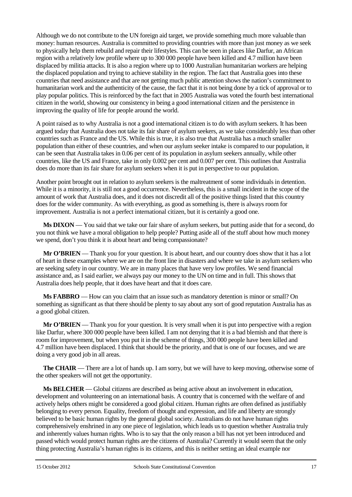Although we do not contribute to the UN foreign aid target, we provide something much more valuable than money: human resources. Australia is committed to providing countries with more than just money as we seek to physically help them rebuild and repair their lifestyles. This can be seen in places like Darfur, an African region with a relatively low profile where up to 300 000 people have been killed and 4.7 million have been displaced by militia attacks. It is also a region where up to 1000 Australian humanitarian workers are helping the displaced population and trying to achieve stability in the region. The fact that Australia goes into these countries that need assistance and that are not getting much public attention shows the nation's commitment to humanitarian work and the authenticity of the cause, the fact that it is not being done by a tick of approval or to play popular politics. This is reinforced by the fact that in 2005 Australia was voted the fourth best international citizen in the world, showing our consistency in being a good international citizen and the persistence in improving the quality of life for people around the world.

A point raised as to why Australia is not a good international citizen is to do with asylum seekers. It has been argued today that Australia does not take its fair share of asylum seekers, as we take considerably less than other countries such as France and the US. While this is true, it is also true that Australia has a much smaller population than either of these countries, and when our asylum seeker intake is compared to our population, it can be seen that Australia takes in 0.06 per cent of its population in asylum seekers annually, while other countries, like the US and France, take in only 0.002 per cent and 0.007 per cent. This outlines that Australia does do more than its fair share for asylum seekers when it is put in perspective to our population.

Another point brought out in relation to asylum seekers is the maltreatment of some individuals in detention. While it is a minority, it is still not a good occurrence. Nevertheless, this is a small incident in the scope of the amount of work that Australia does, and it does not discredit all of the positive things listed that this country does for the wider community. As with everything, as good as something is, there is always room for improvement. Australia is not a perfect international citizen, but it is certainly a good one.

**Ms DIXON** — You said that we take our fair share of asylum seekers, but putting aside that for a second, do you not think we have a moral obligation to help people? Putting aside all of the stuff about how much money we spend, don't you think it is about heart and being compassionate?

**Mr O'BRIEN** — Thank you for your question. It is about heart, and our country does show that it has a lot of heart in these examples where we are on the front line in disasters and where we take in asylum seekers who are seeking safety in our country. We are in many places that have very low profiles. We send financial assistance and, as I said earlier, we always pay our money to the UN on time and in full. This shows that Australia does help people, that it does have heart and that it does care.

**Ms FABBRO** — How can you claim that an issue such as mandatory detention is minor or small? On something as significant as that there should be plenty to say about any sort of good reputation Australia has as a good global citizen.

**Mr O'BRIEN** — Thank you for your question. It is very small when it is put into perspective with a region like Darfur, where 300 000 people have been killed. I am not denying that it is a bad blemish and that there is room for improvement, but when you put it in the scheme of things, 300 000 people have been killed and 4.7 million have been displaced. I think that should be the priority, and that is one of our focuses, and we are doing a very good job in all areas.

**The CHAIR** — There are a lot of hands up. I am sorry, but we will have to keep moving, otherwise some of the other speakers will not get the opportunity.

**Ms BELCHER** — Global citizens are described as being active about an involvement in education, development and volunteering on an international basis. A country that is concerned with the welfare of and actively helps others might be considered a good global citizen. Human rights are often defined as justifiably belonging to every person. Equality, freedom of thought and expression, and life and liberty are strongly believed to be basic human rights by the general global society. Australians do not have human rights comprehensively enshrined in any one piece of legislation, which leads us to question whether Australia truly and inherently values human rights. Who is to say that the only reason a bill has not yet been introduced and passed which would protect human rights are the citizens of Australia? Currently it would seem that the only thing protecting Australia's human rights is its citizens, and this is neither setting an ideal example nor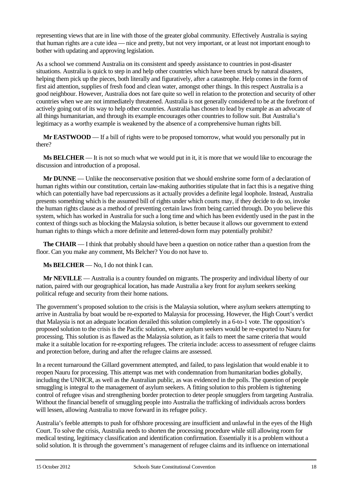representing views that are in line with those of the greater global community. Effectively Australia is saying that human rights are a cute idea — nice and pretty, but not very important, or at least not important enough to bother with updating and approving legislation.

As a school we commend Australia on its consistent and speedy assistance to countries in post-disaster situations. Australia is quick to step in and help other countries which have been struck by natural disasters, helping them pick up the pieces, both literally and figuratively, after a catastrophe. Help comes in the form of first aid attention, supplies of fresh food and clean water, amongst other things. In this respect Australia is a good neighbour. However, Australia does not fare quite so well in relation to the protection and security of other countries when we are not immediately threatened. Australia is not generally considered to be at the forefront of actively going out of its way to help other countries. Australia has chosen to lead by example as an advocate of all things humanitarian, and through its example encourages other countries to follow suit. But Australia's legitimacy as a worthy example is weakened by the absence of a comprehensive human rights bill.

**Mr EASTWOOD** — If a bill of rights were to be proposed tomorrow, what would you personally put in there?

**Ms BELCHER** — It is not so much what we would put in it, it is more that we would like to encourage the discussion and introduction of a proposal.

**Mr DUNNE** — Unlike the neoconservative position that we should enshrine some form of a declaration of human rights within our constitution, certain law-making authorities stipulate that in fact this is a negative thing which can potentially have bad repercussions as it actually provides a definite legal loophole. Instead, Australia presents something which is the assumed bill of rights under which courts may, if they decide to do so, invoke the human rights clause as a method of preventing certain laws from being carried through. Do you believe this system, which has worked in Australia for such a long time and which has been evidently used in the past in the context of things such as blocking the Malaysia solution, is better because it allows our government to extend human rights to things which a more definite and lettered-down form may potentially prohibit?

**The CHAIR** — I think that probably should have been a question on notice rather than a question from the floor. Can you make any comment, Ms Belcher? You do not have to.

**Ms BELCHER** — No, I do not think I can.

**Mr NEVILLE** — Australia is a country founded on migrants. The prosperity and individual liberty of our nation, paired with our geographical location, has made Australia a key front for asylum seekers seeking political refuge and security from their home nations.

The government's proposed solution to the crisis is the Malaysia solution, where asylum seekers attempting to arrive in Australia by boat would be re-exported to Malaysia for processing. However, the High Court's verdict that Malaysia is not an adequate location derailed this solution completely in a 6-to-1 vote. The opposition's proposed solution to the crisis is the Pacific solution, where asylum seekers would be re-exported to Nauru for processing. This solution is as flawed as the Malaysia solution, as it fails to meet the same criteria that would make it a suitable location for re-exporting refugees. The criteria include: access to assessment of refugee claims and protection before, during and after the refugee claims are assessed.

In a recent turnaround the Gillard government attempted, and failed, to pass legislation that would enable it to reopen Nauru for processing. This attempt was met with condemnation from humanitarian bodies globally, including the UNHCR, as well as the Australian public, as was evidenced in the polls. The question of people smuggling is integral to the management of asylum seekers. A fitting solution to this problem is tightening control of refugee visas and strengthening border protection to deter people smugglers from targeting Australia. Without the financial benefit of smuggling people into Australia the trafficking of individuals across borders will lessen, allowing Australia to move forward in its refugee policy.

Australia's feeble attempts to push for offshore processing are insufficient and unlawful in the eyes of the High Court. To solve the crisis, Australia needs to shorten the processing procedure while still allowing room for medical testing, legitimacy classification and identification confirmation. Essentially it is a problem without a solid solution. It is through the government's management of refugee claims and its influence on international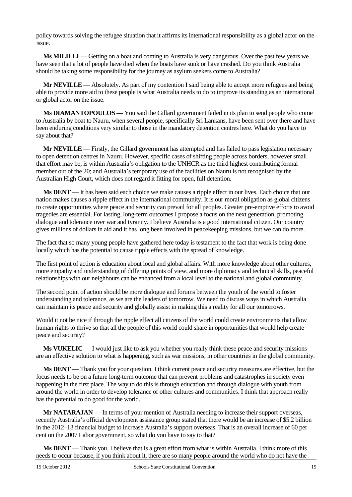policy towards solving the refugee situation that it affirms its international responsibility as a global actor on the issue.

**Ms MILILLI** — Getting on a boat and coming to Australia is very dangerous. Over the past few years we have seen that a lot of people have died when the boats have sunk or have crashed. Do you think Australia should be taking some responsibility for the journey as asylum seekers come to Australia?

**Mr NEVILLE** — Absolutely. As part of my contention I said being able to accept more refugees and being able to provide more aid to these people is what Australia needs to do to improve its standing as an international or global actor on the issue.

**Ms DIAMANTOPOULOS** — You said the Gillard government failed in its plan to send people who come to Australia by boat to Nauru, when several people, specifically Sri Lankans, have been sent over there and have been enduring conditions very similar to those in the mandatory detention centres here. What do you have to say about that?

**Mr NEVILLE** — Firstly, the Gillard government has attempted and has failed to pass legislation necessary to open detention centres in Nauru. However, specific cases of shifting people across borders, however small that effort may be, is within Australia's obligation to the UNHCR as the third highest contributing formal member out of the 20; and Australia's temporary use of the facilities on Nauru is not recognised by the Australian High Court, which does not regard it fitting for open, full detention.

**Ms DENT** — It has been said each choice we make causes a ripple effect in our lives. Each choice that our nation makes causes a ripple effect in the international community. It is our moral obligation as global citizens to create opportunities where peace and security can prevail for all peoples. Greater pre-emptive efforts to avoid tragedies are essential. For lasting, long-term outcomes I propose a focus on the next generation, promoting dialogue and tolerance over war and tyranny. I believe Australia is a good international citizen. Our country gives millions of dollars in aid and it has long been involved in peacekeeping missions, but we can do more.

The fact that so many young people have gathered here today is testament to the fact that work is being done locally which has the potential to cause ripple effects with the spread of knowledge.

The first point of action is education about local and global affairs. With more knowledge about other cultures, more empathy and understanding of differing points of view, and more diplomacy and technical skills, peaceful relationships with our neighbours can be enhanced from a local level to the national and global community.

The second point of action should be more dialogue and forums between the youth of the world to foster understanding and tolerance, as we are the leaders of tomorrow. We need to discuss ways in which Australia can maintain its peace and security and globally assist in making this a reality for all our tomorrows.

Would it not be nice if through the ripple effect all citizens of the world could create environments that allow human rights to thrive so that all the people of this world could share in opportunities that would help create peace and security?

**Ms VUKELIC** — I would just like to ask you whether you really think these peace and security missions are an effective solution to what is happening, such as war missions, in other countries in the global community.

**Ms DENT** — Thank you for your question. I think current peace and security measures are effective, but the focus needs to be on a future long-term outcome that can prevent problems and catastrophes in society even happening in the first place. The way to do this is through education and through dialogue with youth from around the world in order to develop tolerance of other cultures and communities. I think that approach really has the potential to do good for the world.

**Mr NATARAJAN** — In terms of your mention of Australia needing to increase their support overseas, recently Australia's official development assistance group stated that there would be an increase of \$5.2 billion in the 2012–13 financial budget to increase Australia's support overseas. That is an overall increase of 60 per cent on the 2007 Labor government, so what do you have to say to that?

**Ms DENT** — Thank you. I believe that is a great effort from what is within Australia. I think more of this needs to occur because, if you think about it, there are so many people around the world who do not have the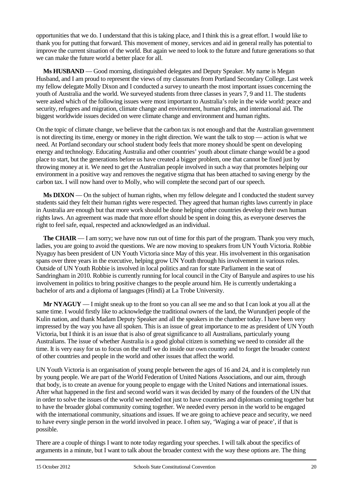opportunities that we do. I understand that this is taking place, and I think this is a great effort. I would like to thank you for putting that forward. This movement of money, services and aid in general really has potential to improve the current situation of the world. But again we need to look to the future and future generations so that we can make the future world a better place for all.

**Ms HUSBAND** — Good morning, distinguished delegates and Deputy Speaker. My name is Megan Husband, and I am proud to represent the views of my classmates from Portland Secondary College. Last week my fellow delegate Molly Dixon and I conducted a survey to unearth the most important issues concerning the youth of Australia and the world. We surveyed students from three classes in years 7, 9 and 11. The students were asked which of the following issues were most important to Australia's role in the wide world: peace and security, refugees and migration, climate change and environment, human rights, and international aid. The biggest worldwide issues decided on were climate change and environment and human rights.

On the topic of climate change, we believe that the carbon tax is not enough and that the Australian government is not directing its time, energy or money in the right direction. We want the talk to stop — action is what we need. At Portland secondary our school student body feels that more money should be spent on developing energy and technology. Educating Australia and other countries' youth about climate change would be a good place to start, but the generations before us have created a bigger problem, one that cannot be fixed just by throwing money at it. We need to get the Australian people involved in such a way that promotes helping our environment in a positive way and removes the negative stigma that has been attached to saving energy by the carbon tax. I will now hand over to Molly, who will complete the second part of our speech.

**Ms DIXON** — On the subject of human rights, when my fellow delegate and I conducted the student survey students said they felt their human rights were respected. They agreed that human rights laws currently in place in Australia are enough but that more work should be done helping other countries develop their own human rights laws. An agreement was made that more effort should be spent in doing this, as everyone deserves the right to feel safe, equal, respected and acknowledged as an individual.

**The CHAIR** — I am sorry; we have now run out of time for this part of the program. Thank you very much, ladies, you are going to avoid the questions. We are now moving to speakers from UN Youth Victoria. Robbie Nyaguy has been president of UN Youth Victoria since May of this year. His involvement in this organisation spans over three years in the executive, helping grow UN Youth through his involvement in various roles. Outside of UN Youth Robbie is involved in local politics and ran for state Parliament in the seat of Sandringham in 2010. Robbie is currently running for local council in the City of Banyule and aspires to use his involvement in politics to bring positive changes to the people around him. He is currently undertaking a bachelor of arts and a diploma of languages (Hindi) at La Trobe University.

**Mr NYAGUY** — I might sneak up to the front so you can all see me and so that I can look at you all at the same time. I would firstly like to acknowledge the traditional owners of the land, the Wurundjeri people of the Kulin nation, and thank Madam Deputy Speaker and all the speakers in the chamber today. I have been very impressed by the way you have all spoken. This is an issue of great importance to me as president of UN Youth Victoria, but I think it is an issue that is also of great significance to all Australians, particularly young Australians. The issue of whether Australia is a good global citizen is something we need to consider all the time. It is very easy for us to focus on the stuff we do inside our own country and to forget the broader context of other countries and people in the world and other issues that affect the world.

UN Youth Victoria is an organisation of young people between the ages of 16 and 24, and it is completely run by young people. We are part of the World Federation of United Nations Associations, and our aim, through that body, is to create an avenue for young people to engage with the United Nations and international issues. After what happened in the first and second world wars it was decided by many of the founders of the UN that in order to solve the issues of the world we needed not just to have countries and diplomats coming together but to have the broader global community coming together. We needed every person in the world to be engaged with the international community, situations and issues. If we are going to achieve peace and security, we need to have every single person in the world involved in peace. I often say, 'Waging a war of peace', if that is possible.

There are a couple of things I want to note today regarding your speeches. I will talk about the specifics of arguments in a minute, but I want to talk about the broader context with the way these options are. The thing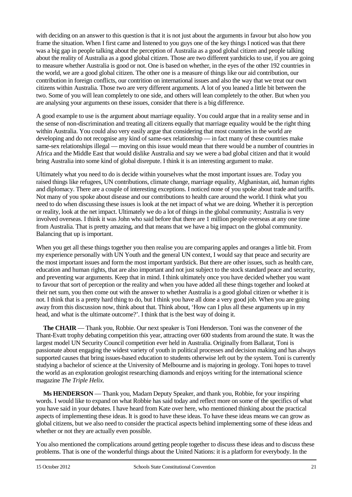with deciding on an answer to this question is that it is not just about the arguments in favour but also how you frame the situation. When I first came and listened to you guys one of the key things I noticed was that there was a big gap in people talking about the perception of Australia as a good global citizen and people talking about the reality of Australia as a good global citizen. Those are two different yardsticks to use, if you are going to measure whether Australia is good or not. One is based on whether, in the eyes of the other 192 countries in the world, we are a good global citizen. The other one is a measure of things like our aid contribution, our contribution in foreign conflicts, our contrition on international issues and also the way that we treat our own citizens within Australia. Those two are very different arguments. A lot of you leaned a little bit between the two. Some of you will lean completely to one side, and others will lean completely to the other. But when you are analysing your arguments on these issues, consider that there is a big difference.

A good example to use is the argument about marriage equality. You could argue that in a reality sense and in the sense of non-discrimination and treating all citizens equally that marriage equality would be the right thing within Australia. You could also very easily argue that considering that most countries in the world are developing and do not recognise any kind of same-sex relationship — in fact many of these countries make same-sex relationships illegal — moving on this issue would mean that there would be a number of countries in Africa and the Middle East that would dislike Australia and say we were a bad global citizen and that it would bring Australia into some kind of global disrepute. I think it is an interesting argument to make.

Ultimately what you need to do is decide within yourselves what the most important issues are. Today you raised things like refugees, UN contributions, climate change, marriage equality, Afghanistan, aid, human rights and diplomacy. There are a couple of interesting exceptions. I noticed none of you spoke about trade and tariffs. Not many of you spoke about disease and our contributions to health care around the world. I think what you need to do when discussing these issues is look at the net impact of what we are doing. Whether it is perception or reality, look at the net impact. Ultimately we do a lot of things in the global community; Australia is very involved overseas. I think it was John who said before that there are 1 million people overseas at any one time from Australia. That is pretty amazing, and that means that we have a big impact on the global community. Balancing that up is important.

When you get all these things together you then realise you are comparing apples and oranges a little bit. From my experience personally with UN Youth and the general UN context, I would say that peace and security are the most important issues and form the most important yardstick. But there are other issues, such as health care, education and human rights, that are also important and not just subject to the stock standard peace and security, and preventing war arguments. Keep that in mind. I think ultimately once you have decided whether you want to favour that sort of perception or the reality and when you have added all these things together and looked at their net sum, you then come out with the answer to whether Australia is a good global citizen or whether it is not. I think that is a pretty hard thing to do, but I think you have all done a very good job. When you are going away from this discussion now, think about that. Think about, 'How can I plus all these arguments up in my head, and what is the ultimate outcome?'. I think that is the best way of doing it.

**The CHAIR** — Thank you, Robbie. Our next speaker is Toni Henderson. Toni was the convener of the Thant-Evatt trophy debating competition this year, attracting over 600 students from around the state. It was the largest model UN Security Council competition ever held in Australia. Originally from Ballarat, Toni is passionate about engaging the widest variety of youth in political processes and decision making and has always supported causes that bring issues-based education to students otherwise left out by the system. Toni is currently studying a bachelor of science at the University of Melbourne and is majoring in geology. Toni hopes to travel the world as an exploration geologist researching diamonds and enjoys writing for the international science magazine *The Triple Helix*.

**Ms HENDERSON** — Thank you, Madam Deputy Speaker, and thank you, Robbie, for your inspiring words. I would like to expand on what Robbie has said today and reflect more on some of the specifics of what you have said in your debates. I have heard from Kate over here, who mentioned thinking about the practical aspects of implementing these ideas. It is good to have these ideas. To have these ideas means we can grow as global citizens, but we also need to consider the practical aspects behind implementing some of these ideas and whether or not they are actually even possible.

You also mentioned the complications around getting people together to discuss these ideas and to discuss these problems. That is one of the wonderful things about the United Nations: it is a platform for everybody. In the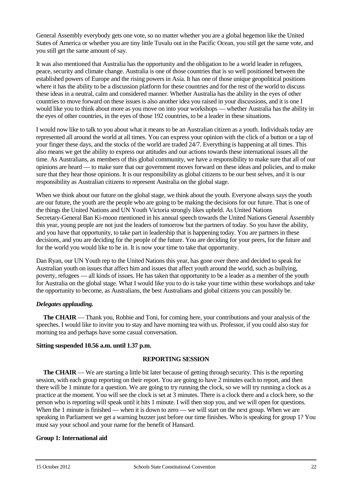General Assembly everybody gets one vote, so no matter whether you are a global hegemon like the United States of America or whether you are tiny little Tuvalu out in the Pacific Ocean, you still get the same vote, and you still get the same amount of say.

It was also mentioned that Australia has the opportunity and the obligation to be a world leader in refugees, peace, security and climate change. Australia is one of those countries that is so well positioned between the established powers of Europe and the rising powers in Asia. It has one of those unique geopolitical positions where it has the ability to be a discussion platform for these countries and for the rest of the world to discuss these ideas in a neutral, calm and considered manner. Whether Australia has the ability in the eyes of other countries to move forward on these issues is also another idea you raised in your discussions, and it is one I would like you to think about more as you move on into your workshops — whether Australia has the ability in the eyes of other countries, in the eyes of those 192 countries, to be a leader in these situations.

I would now like to talk to you about what it means to be an Australian citizen as a youth. Individuals today are represented all around the world at all times. You can express your opinion with the click of a button or a tap of your finger these days, and the stocks of the world are traded 24/7. Everything is happening at all times. This also means we get the ability to express our attitudes and our actions towards these international issues all the time. As Australians, as members of this global community, we have a responsibility to make sure that all of our opinions are heard — to make sure that our government moves forward on these ideas and policies, and to make sure that they hear those opinions. It is our responsibility as global citizens to be our best selves, and it is our responsibility as Australian citizens to represent Australia on the global stage.

When we think about our future on the global stage, we think about the youth. Everyone always says the youth are our future, the youth are the people who are going to be making the decisions for our future. That is one of the things the United Nations and UN Youth Victoria strongly likes upheld. As United Nations Secretary-General Ban Ki-moon mentioned in his annual speech towards the United Nations General Assembly this year, young people are not just the leaders of tomorrow but the partners of today. So you have the ability, and you have that opportunity, to take part in leadership that is happening today. You are partners in these decisions, and you are deciding for the people of the future. You are deciding for your peers, for the future and for the world you would like to be in. It is now your time to take that opportunity.

Dan Ryan, our UN Youth rep to the United Nations this year, has gone over there and decided to speak for Australian youth on issues that affect him and issues that affect youth around the world, such as bullying, poverty, refugees — all kinds of issues. He has taken that opportunity to be a leader as a member of the youth for Australia on the global stage. What I would like you to do is take your time within these workshops and take the opportunity to become, as Australians, the best Australians and global citizens you can possibly be.

## *Delegates applauding.*

**The CHAIR** — Thank you, Robbie and Toni, for coming here, your contributions and your analysis of the speeches. I would like to invite you to stay and have morning tea with us. Professor, if you could also stay for morning tea and perhaps have some casual conversation.

#### **Sitting suspended 10.56 a.m. until 1.37 p.m.**

#### **REPORTING SESSION**

**The CHAIR** — We are starting a little bit later because of getting through security. This is the reporting session, with each group reporting on their report. You are going to have 2 minutes each to report, and then there will be 1 minute for a question. We are going to try running the clock, so we will try running a clock as a practice at the moment. You will see the clock is set at 3 minutes. There is a clock there and a clock here, so the person who is reporting will speak until it hits 1 minute. I will then stop you, and we will open for questions. When the 1 minute is finished — when it is down to zero — we will start on the next group. When we are speaking in Parliament we get a warning buzzer just before our time finishes. Who is speaking for group 1? You must say your school and your name for the benefit of Hansard.

#### **Group 1: International aid**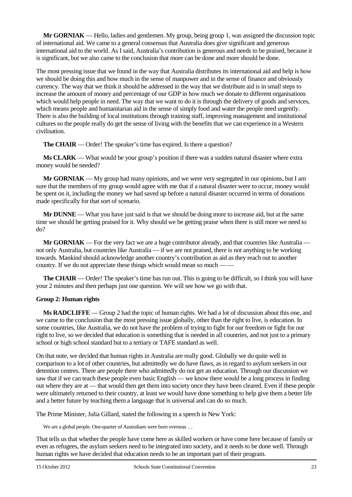**Mr GORNIAK** — Hello, ladies and gentlemen. My group, being group 1, was assigned the discussion topic of international aid. We came to a general consensus that Australia does give significant and generous international aid to the world. As I said, Australia's contribution is generous and needs to be praised, because it is significant, but we also came to the conclusion that more can be done and more should be done.

The most pressing issue that we found in the way that Australia distributes its international aid and help is how we should be doing this and how much in the sense of manpower and in the sense of finance and obviously currency. The way that we think it should be addressed in the way that we distribute aid is in small steps to increase the amount of money and percentage of our GDP in how much we donate to different organisations which would help people in need. The way that we want to do it is through the delivery of goods and services, which means people and humanitarian aid in the sense of simply food and water the people need urgently. There is also the building of local institutions through training staff, improving management and institutional cultures so the people really do get the sense of living with the benefits that we can experience in a Western civilisation.

**The CHAIR** — Order! The speaker's time has expired. Is there a question?

**Ms CLARK** — What would be your group's position if there was a sudden natural disaster where extra money would be needed?

**Mr GORNIAK** — My group had many opinions, and we were very segregated in our opinions, but I am sure that the members of my group would agree with me that if a natural disaster were to occur, money would be spent on it, including the money we had saved up before a natural disaster occurred in terms of donations made specifically for that sort of scenario.

**Mr DUNNE** — What you have just said is that we should be doing more to increase aid, but at the same time we should be getting praised for it. Why should we be getting praise when there is still more we need to do?

**Mr GORNIAK** — For the very fact we are a huge contributor already, and that countries like Australia not only Australia, but countries like Australia — if we are not praised, there is not anything to be working towards. Mankind should acknowledge another country's contribution as aid as they reach out to another country. If we do not appreciate these things which would mean so much — —

**The CHAIR** — Order! The speaker's time has run out. This is going to be difficult, so I think you will have your 2 minutes and then perhaps just one question. We will see how we go with that.

## **Group 2: Human rights**

**Ms RADCLIFFE** — Group 2 had the topic of human rights. We had a lot of discussion about this one, and we came to the conclusion that the most pressing issue globally, other than the right to live, is education. In some countries, like Australia, we do not have the problem of trying to fight for our freedom or fight for our right to live, so we decided that education is something that is needed in all countries, and not just to a primary school or high school standard but to a tertiary or TAFE standard as well.

On that note, we decided that human rights in Australia are really good. Globally we do quite well in comparison to a lot of other countries, but admittedly we do have flaws, as in regard to asylum seekers in our detention centres. There are people there who admittedly do not get an education. Through our discussion we saw that if we can teach these people even basic English — we know there would be a long process in finding out where they are at — that would then get them into society once they have been cleared. Even if these people were ultimately returned to their country, at least we would have done something to help give them a better life and a better future by teaching them a language that is universal and can do so much.

The Prime Minister, Julia Gillard, stated the following in a speech in New York:

We are a global people. One-quarter of Australians were born overseas …

That tells us that whether the people have come here as skilled workers or have come here because of family or even as refugees, the asylum seekers need to be integrated into society, and it needs to be done well. Through human rights we have decided that education needs to be an important part of their program.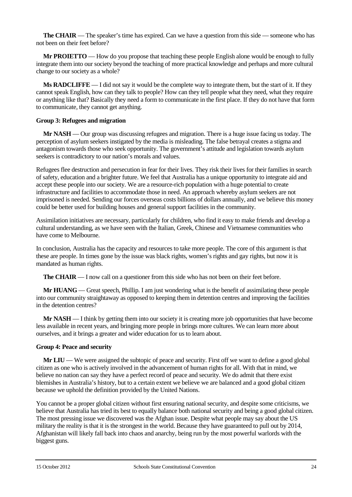**The CHAIR** — The speaker's time has expired. Can we have a question from this side — someone who has not been on their feet before?

**Mr PROIETTO** — How do you propose that teaching these people English alone would be enough to fully integrate them into our society beyond the teaching of more practical knowledge and perhaps and more cultural change to our society as a whole?

**Ms RADCLIFFE** — I did not say it would be the complete way to integrate them, but the start of it. If they cannot speak English, how can they talk to people? How can they tell people what they need, what they require or anything like that? Basically they need a form to communicate in the first place. If they do not have that form to communicate, they cannot get anything.

#### **Group 3: Refugees and migration**

**Mr NASH** — Our group was discussing refugees and migration. There is a huge issue facing us today. The perception of asylum seekers instigated by the media is misleading. The false betrayal creates a stigma and antagonism towards those who seek opportunity. The government's attitude and legislation towards asylum seekers is contradictory to our nation's morals and values.

Refugees flee destruction and persecution in fear for their lives. They risk their lives for their families in search of safety, education and a brighter future. We feel that Australia has a unique opportunity to integrate aid and accept these people into our society. We are a resource-rich population with a huge potential to create infrastructure and facilities to accommodate those in need. An approach whereby asylum seekers are not imprisoned is needed. Sending our forces overseas costs billions of dollars annually, and we believe this money could be better used for building houses and general support facilities in the community.

Assimilation initiatives are necessary, particularly for children, who find it easy to make friends and develop a cultural understanding, as we have seen with the Italian, Greek, Chinese and Vietnamese communities who have come to Melbourne.

In conclusion, Australia has the capacity and resources to take more people. The core of this argument is that these are people. In times gone by the issue was black rights, women's rights and gay rights, but now it is mandated as human rights.

**The CHAIR** — I now call on a questioner from this side who has not been on their feet before.

**Mr HUANG** — Great speech, Phillip. I am just wondering what is the benefit of assimilating these people into our community straightaway as opposed to keeping them in detention centres and improving the facilities in the detention centres?

**Mr NASH** — I think by getting them into our society it is creating more job opportunities that have become less available in recent years, and bringing more people in brings more cultures. We can learn more about ourselves, and it brings a greater and wider education for us to learn about.

#### **Group 4: Peace and security**

**Mr LIU** — We were assigned the subtopic of peace and security. First off we want to define a good global citizen as one who is actively involved in the advancement of human rights for all. With that in mind, we believe no nation can say they have a perfect record of peace and security. We do admit that there exist blemishes in Australia's history, but to a certain extent we believe we are balanced and a good global citizen because we uphold the definition provided by the United Nations.

You cannot be a proper global citizen without first ensuring national security, and despite some criticisms, we believe that Australia has tried its best to equally balance both national security and being a good global citizen. The most pressing issue we discovered was the Afghan issue. Despite what people may say about the US military the reality is that it is the strongest in the world. Because they have guaranteed to pull out by 2014, Afghanistan will likely fall back into chaos and anarchy, being run by the most powerful warlords with the biggest guns.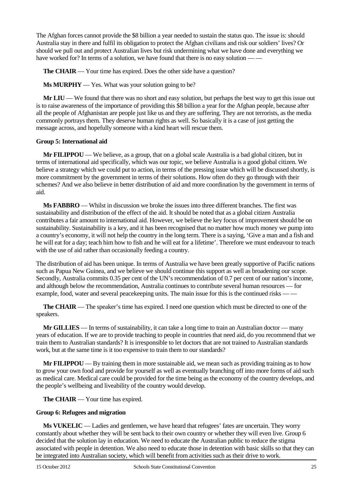The Afghan forces cannot provide the \$8 billion a year needed to sustain the status quo. The issue is: should Australia stay in there and fulfil its obligation to protect the Afghan civilians and risk our soldiers' lives? Or should we pull out and protect Australian lives but risk undermining what we have done and everything we have worked for? In terms of a solution, we have found that there is no easy solution –

**The CHAIR** — Your time has expired. Does the other side have a question?

**Ms MURPHY** — Yes. What was your solution going to be?

**Mr LIU** — We found that there was no short and easy solution, but perhaps the best way to get this issue out is to raise awareness of the importance of providing this \$8 billion a year for the Afghan people, because after all the people of Afghanistan are people just like us and they are suffering. They are not terrorists, as the media commonly portrays them. They deserve human rights as well. So basically it is a case of just getting the message across, and hopefully someone with a kind heart will rescue them.

#### **Group 5: International aid**

**Mr FILIPPOU** — We believe, as a group, that on a global scale Australia is a bad global citizen, but in terms of international aid specifically, which was our topic, we believe Australia is a good global citizen. We believe a strategy which we could put to action, in terms of the pressing issue which will be discussed shortly, is more commitment by the government in terms of their solutions. How often do they go through with their schemes? And we also believe in better distribution of aid and more coordination by the government in terms of aid.

**Ms FABBRO** — Whilst in discussion we broke the issues into three different branches. The first was sustainability and distribution of the effect of the aid. It should be noted that as a global citizen Australia contributes a fair amount to international aid. However, we believe the key focus of improvement should be on sustainability. Sustainability is a key, and it has been recognised that no matter how much money we pump into a country's economy, it will not help the country in the long term. There is a saying, 'Give a man and a fish and he will eat for a day; teach him how to fish and he will eat for a lifetime'. Therefore we must endeavour to teach with the use of aid rather than occasionally feeding a country.

The distribution of aid has been unique. In terms of Australia we have been greatly supportive of Pacific nations such as Papua New Guinea, and we believe we should continue this support as well as broadening our scope. Secondly, Australia commits 0.35 per cent of the UN's recommendation of 0.7 per cent of our nation's income, and although below the recommendation, Australia continues to contribute several human resources — for example, food, water and several peacekeeping units. The main issue for this is the continued risks — —

**The CHAIR** — The speaker's time has expired. I need one question which must be directed to one of the speakers.

**Mr GILLIES** — In terms of sustainability, it can take a long time to train an Australian doctor — many years of education. If we are to provide teaching to people in countries that need aid, do you recommend that we train them to Australian standards? It is irresponsible to let doctors that are not trained to Australian standards work, but at the same time is it too expensive to train them to our standards?

**Mr FILIPPOU** — By training them in more sustainable aid, we mean such as providing training as to how to grow your own food and provide for yourself as well as eventually branching off into more forms of aid such as medical care. Medical care could be provided for the time being as the economy of the country develops, and the people's wellbeing and liveability of the country would develop.

**The CHAIR** — Your time has expired.

## **Group 6: Refugees and migration**

**Ms VUKELIC** — Ladies and gentlemen, we have heard that refugees' fates are uncertain. They worry constantly about whether they will be sent back to their own country or whether they will even live. Group 6 decided that the solution lay in education. We need to educate the Australian public to reduce the stigma associated with people in detention. We also need to educate those in detention with basic skills so that they can be integrated into Australian society, which will benefit from activities such as their drive to work.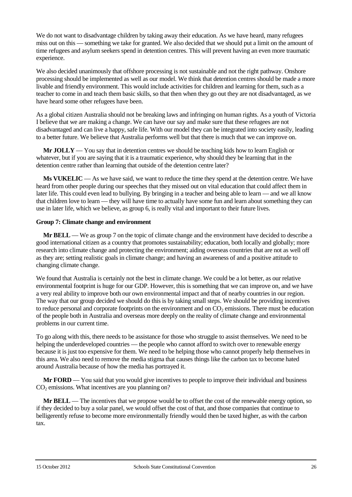We do not want to disadvantage children by taking away their education. As we have heard, many refugees miss out on this — something we take for granted. We also decided that we should put a limit on the amount of time refugees and asylum seekers spend in detention centres. This will prevent having an even more traumatic experience.

We also decided unanimously that offshore processing is not sustainable and not the right pathway. Onshore processing should be implemented as well as our model. We think that detention centres should be made a more livable and friendly environment. This would include activities for children and learning for them, such as a teacher to come in and teach them basic skills, so that then when they go out they are not disadvantaged, as we have heard some other refugees have been.

As a global citizen Australia should not be breaking laws and infringing on human rights. As a youth of Victoria I believe that we are making a change. We can have our say and make sure that these refugees are not disadvantaged and can live a happy, safe life. With our model they can be integrated into society easily, leading to a better future. We believe that Australia performs well but that there is much that we can improve on.

**Mr JOLLY** — You say that in detention centres we should be teaching kids how to learn English or whatever, but if you are saying that it is a traumatic experience, why should they be learning that in the detention centre rather than learning that outside of the detention centre later?

**Ms VUKELIC** — As we have said, we want to reduce the time they spend at the detention centre. We have heard from other people during our speeches that they missed out on vital education that could affect them in later life. This could even lead to bullying. By bringing in a teacher and being able to learn — and we all know that children love to learn — they will have time to actually have some fun and learn about something they can use in later life, which we believe, as group 6, is really vital and important to their future lives.

#### **Group 7: Climate change and environment**

**Mr BELL** — We as group 7 on the topic of climate change and the environment have decided to describe a good international citizen as a country that promotes sustainability; education, both locally and globally; more research into climate change and protecting the environment; aiding overseas countries that are not as well off as they are; setting realistic goals in climate change; and having an awareness of and a positive attitude to changing climate change.

We found that Australia is certainly not the best in climate change. We could be a lot better, as our relative environmental footprint is huge for our GDP. However, this is something that we can improve on, and we have a very real ability to improve both our own environmental impact and that of nearby countries in our region. The way that our group decided we should do this is by taking small steps. We should be providing incentives to reduce personal and corporate footprints on the environment and on  $CO<sub>2</sub>$  emissions. There must be education of the people both in Australia and overseas more deeply on the reality of climate change and environmental problems in our current time.

To go along with this, there needs to be assistance for those who struggle to assist themselves. We need to be helping the underdeveloped countries — the people who cannot afford to switch over to renewable energy because it is just too expensive for them. We need to be helping those who cannot properly help themselves in this area. We also need to remove the media stigma that causes things like the carbon tax to become hated around Australia because of how the media has portrayed it.

**Mr FORD** — You said that you would give incentives to people to improve their individual and business  $CO<sub>2</sub>$  emissions. What incentives are you planning on?

**Mr BELL** — The incentives that we propose would be to offset the cost of the renewable energy option, so if they decided to buy a solar panel, we would offset the cost of that, and those companies that continue to belligerently refuse to become more environmentally friendly would then be taxed higher, as with the carbon tax.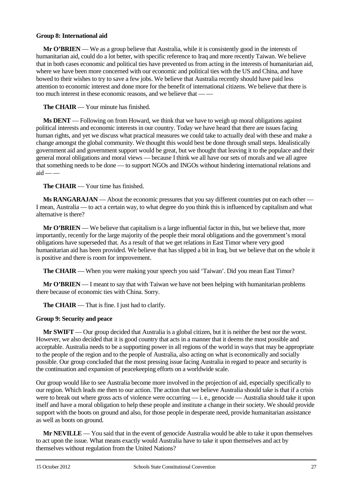#### **Group 8: International aid**

**Mr O'BRIEN** — We as a group believe that Australia, while it is consistently good in the interests of humanitarian aid, could do a lot better, with specific reference to Iraq and more recently Taiwan. We believe that in both cases economic and political ties have prevented us from acting in the interests of humanitarian aid, where we have been more concerned with our economic and political ties with the US and China, and have bowed to their wishes to try to save a few jobs. We believe that Australia recently should have paid less attention to economic interest and done more for the benefit of international citizens. We believe that there is too much interest in these economic reasons, and we believe that — —

**The CHAIR** — Your minute has finished.

**Ms DENT** — Following on from Howard, we think that we have to weigh up moral obligations against political interests and economic interests in our country. Today we have heard that there are issues facing human rights, and yet we discuss what practical measures we could take to actually deal with these and make a change amongst the global community. We thought this would best be done through small steps. Idealistically government aid and government support would be great, but we thought that leaving it to the populace and their general moral obligations and moral views — because I think we all have our sets of morals and we all agree that something needs to be done — to support NGOs and INGOs without hindering international relations and  $aid \_\_$ 

**The CHAIR** — Your time has finished.

**Ms RANGARAJAN** — About the economic pressures that you say different countries put on each other — I mean, Australia — to act a certain way, to what degree do you think this is influenced by capitalism and what alternative is there?

**Mr O'BRIEN** — We believe that capitalism is a large influential factor in this, but we believe that, more importantly, recently for the large majority of the people their moral obligations and the government's moral obligations have superseded that. As a result of that we get relations in East Timor where very good humanitarian aid has been provided. We believe that has slipped a bit in Iraq, but we believe that on the whole it is positive and there is room for improvement.

**The CHAIR** — When you were making your speech you said 'Taiwan'. Did you mean East Timor?

**Mr O'BRIEN** — I meant to say that with Taiwan we have not been helping with humanitarian problems there because of economic ties with China. Sorry.

**The CHAIR** — That is fine. I just had to clarify.

#### **Group 9: Security and peace**

**Mr SWIFT** — Our group decided that Australia is a global citizen, but it is neither the best nor the worst. However, we also decided that it is good country that acts in a manner that it deems the most possible and acceptable. Australia needs to be a supporting power in all regions of the world in ways that may be appropriate to the people of the region and to the people of Australia, also acting on what is economically and socially possible. Our group concluded that the most pressing issue facing Australia in regard to peace and security is the continuation and expansion of peacekeeping efforts on a worldwide scale.

Our group would like to see Australia become more involved in the projection of aid, especially specifically to our region. Which leads me then to our action. The action that we believe Australia should take is that if a crisis were to break out where gross acts of violence were occurring — i. e., genocide — Australia should take it upon itself and have a moral obligation to help these people and institute a change in their society. We should provide support with the boots on ground and also, for those people in desperate need, provide humanitarian assistance as well as boots on ground.

**Mr NEVILLE** — You said that in the event of genocide Australia would be able to take it upon themselves to act upon the issue. What means exactly would Australia have to take it upon themselves and act by themselves without regulation from the United Nations?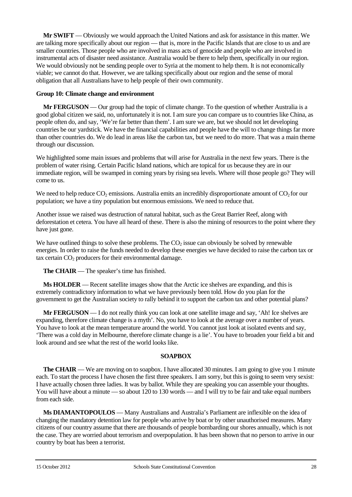**Mr SWIFT** — Obviously we would approach the United Nations and ask for assistance in this matter. We are talking more specifically about our region — that is, more in the Pacific Islands that are close to us and are smaller countries. Those people who are involved in mass acts of genocide and people who are involved in instrumental acts of disaster need assistance. Australia would be there to help them, specifically in our region. We would obviously not be sending people over to Syria at the moment to help them. It is not economically viable; we cannot do that. However, we are talking specifically about our region and the sense of moral obligation that all Australians have to help people of their own community.

#### **Group 10: Climate change and environment**

**Mr FERGUSON** — Our group had the topic of climate change. To the question of whether Australia is a good global citizen we said, no, unfortunately it is not. I am sure you can compare us to countries like China, as people often do, and say, 'We're far better than them'. I am sure we are, but we should not let developing countries be our yardstick. We have the financial capabilities and people have the will to change things far more than other countries do. We do lead in areas like the carbon tax, but we need to do more. That was a main theme through our discussion.

We highlighted some main issues and problems that will arise for Australia in the next few years. There is the problem of water rising. Certain Pacific Island nations, which are topical for us because they are in our immediate region, will be swamped in coming years by rising sea levels. Where will those people go? They will come to us.

We need to help reduce  $CO<sub>2</sub>$  emissions. Australia emits an incredibly disproportionate amount of  $CO<sub>2</sub>$  for our population; we have a tiny population but enormous emissions. We need to reduce that.

Another issue we raised was destruction of natural habitat, such as the Great Barrier Reef, along with deforestation et cetera. You have all heard of these. There is also the mining of resources to the point where they have just gone.

We have outlined things to solve these problems. The  $CO<sub>2</sub>$  issue can obviously be solved by renewable energies. In order to raise the funds needed to develop these energies we have decided to raise the carbon tax or tax certain  $CO<sub>2</sub>$  producers for their environmental damage.

**The CHAIR** — The speaker's time has finished.

**Ms HOLDER** — Recent satellite images show that the Arctic ice shelves are expanding, and this is extremely contradictory information to what we have previously been told. How do you plan for the government to get the Australian society to rally behind it to support the carbon tax and other potential plans?

**Mr FERGUSON** — I do not really think you can look at one satellite image and say, 'Ah! Ice shelves are expanding, therefore climate change is a myth'. No, you have to look at the average over a number of years. You have to look at the mean temperature around the world. You cannot just look at isolated events and say, 'There was a cold day in Melbourne, therefore climate change is a lie'. You have to broaden your field a bit and look around and see what the rest of the world looks like.

## **SOAPBOX**

**The CHAIR** — We are moving on to soapbox. I have allocated 30 minutes. I am going to give you 1 minute each. To start the process I have chosen the first three speakers. I am sorry, but this is going to seem very sexist: I have actually chosen three ladies. It was by ballot. While they are speaking you can assemble your thoughts. You will have about a minute — so about 120 to 130 words — and I will try to be fair and take equal numbers from each side.

**Ms DIAMANTOPOULOS** — Many Australians and Australia's Parliament are inflexible on the idea of changing the mandatory detention law for people who arrive by boat or by other unauthorised measures. Many citizens of our country assume that there are thousands of people bombarding our shores annually, which is not the case. They are worried about terrorism and overpopulation. It has been shown that no person to arrive in our country by boat has been a terrorist.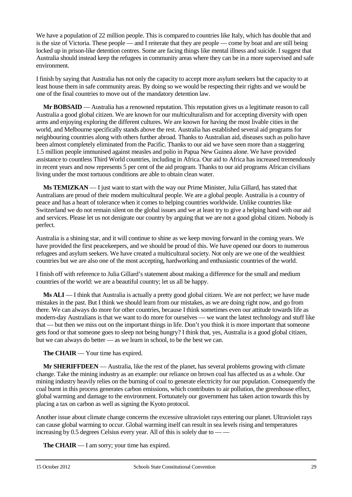We have a population of 22 million people. This is compared to countries like Italy, which has double that and is the size of Victoria. These people — and I reiterate that they are people — come by boat and are still being locked up in prison-like detention centres. Some are facing things like mental illness and suicide. I suggest that Australia should instead keep the refugees in community areas where they can be in a more supervised and safe environment.

I finish by saying that Australia has not only the capacity to accept more asylum seekers but the capacity to at least house them in safe community areas. By doing so we would be respecting their rights and we would be one of the final countries to move out of the mandatory detention law.

**Mr BOBSAID** — Australia has a renowned reputation. This reputation gives us a legitimate reason to call Australia a good global citizen. We are known for our multiculturalism and for accepting diversity with open arms and enjoying exploring the different cultures. We are known for having the most livable cities in the world, and Melbourne specifically stands above the rest. Australia has established several aid programs for neighbouring countries along with others further abroad. Thanks to Australian aid, diseases such as polio have been almost completely eliminated from the Pacific. Thanks to our aid we have seen more than a staggering 1.5 million people immunised against measles and polio in Papua New Guinea alone. We have provided assistance to countless Third World countries, including in Africa. Our aid to Africa has increased tremendously in recent years and now represents 5 per cent of the aid program. Thanks to our aid programs African civilians living under the most tortuous conditions are able to obtain clean water.

**Ms TEMIZKAN** — I just want to start with the way our Prime Minister, Julia Gillard, has stated that Australians are proud of their modern multicultural people. We are a global people. Australia is a country of peace and has a heart of tolerance when it comes to helping countries worldwide. Unlike countries like Switzerland we do not remain silent on the global issues and we at least try to give a helping hand with our aid and services. Please let us not denigrate our country by arguing that we are not a good global citizen. Nobody is perfect.

Australia is a shining star, and it will continue to shine as we keep moving forward in the coming years. We have provided the first peacekeepers, and we should be proud of this. We have opened our doors to numerous refugees and asylum seekers. We have created a multicultural society. Not only are we one of the wealthiest countries but we are also one of the most accepting, hardworking and enthusiastic countries of the world.

I finish off with reference to Julia Gillard's statement about making a difference for the small and medium countries of the world: we are a beautiful country; let us all be happy.

**Ms ALI** — I think that Australia is actually a pretty good global citizen. We are not perfect; we have made mistakes in the past. But I think we should learn from our mistakes, as we are doing right now, and go from there. We can always do more for other countries, because I think sometimes even our attitude towards life as modern-day Australians is that we want to do more for ourselves — we want the latest technology and stuff like that — but then we miss out on the important things in life. Don't you think it is more important that someone gets food or that someone goes to sleep not being hungry? I think that, yes, Australia is a good global citizen, but we can always do better — as we learn in school, to be the best we can.

**The CHAIR** — Your time has expired.

**Mr SHERIFFDEEN** — Australia, like the rest of the planet, has several problems growing with climate change. Take the mining industry as an example: our reliance on brown coal has affected us as a whole. Our mining industry heavily relies on the burning of coal to generate electricity for our population. Consequently the coal burnt in this process generates carbon emissions, which contributes to air pollution, the greenhouse effect, global warming and damage to the environment. Fortunately our government has taken action towards this by placing a tax on carbon as well as signing the Kyoto protocol.

Another issue about climate change concerns the excessive ultraviolet rays entering our planet. Ultraviolet rays can cause global warming to occur. Global warming itself can result in sea levels rising and temperatures increasing by 0.5 degrees Celsius every year. All of this is solely due to — —

**The CHAIR** — I am sorry; your time has expired.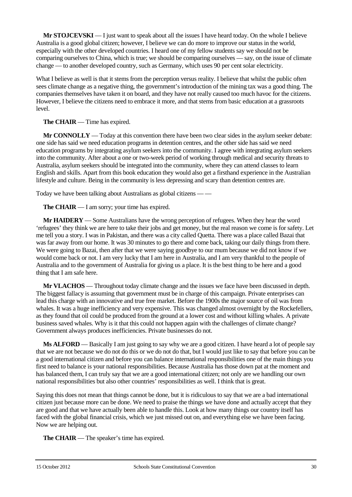**Mr STOJCEVSKI** — I just want to speak about all the issues I have heard today. On the whole I believe Australia is a good global citizen; however, I believe we can do more to improve our status in the world, especially with the other developed countries. I heard one of my fellow students say we should not be comparing ourselves to China, which is true; we should be comparing ourselves — say, on the issue of climate change — to another developed country, such as Germany, which uses 90 per cent solar electricity.

What I believe as well is that it stems from the perception versus reality. I believe that whilst the public often sees climate change as a negative thing, the government's introduction of the mining tax was a good thing. The companies themselves have taken it on board, and they have not really caused too much havoc for the citizens. However, I believe the citizens need to embrace it more, and that stems from basic education at a grassroots level.

**The CHAIR** — Time has expired.

**Mr CONNOLLY** — Today at this convention there have been two clear sides in the asylum seeker debate: one side has said we need education programs in detention centres, and the other side has said we need education programs by integrating asylum seekers into the community. I agree with integrating asylum seekers into the community. After about a one or two-week period of working through medical and security threats to Australia, asylum seekers should be integrated into the community, where they can attend classes to learn English and skills. Apart from this book education they would also get a firsthand experience in the Australian lifestyle and culture. Being in the community is less depressing and scary than detention centres are.

Today we have been talking about Australians as global citizens — —

**The CHAIR** — I am sorry; your time has expired.

**Mr HAIDERY** — Some Australians have the wrong perception of refugees. When they hear the word 'refugees' they think we are here to take their jobs and get money, but the real reason we come is for safety. Let me tell you a story. I was in Pakistan, and there was a city called Quetta. There was a place called Bazai that was far away from our home. It was 30 minutes to go there and come back, taking our daily things from there. We were going to Bazai, then after that we were saying goodbye to our mum because we did not know if we would come back or not. I am very lucky that I am here in Australia, and I am very thankful to the people of Australia and to the government of Australia for giving us a place. It is the best thing to be here and a good thing that I am safe here.

**Mr VLACHOS** — Throughout today climate change and the issues we face have been discussed in depth. The biggest fallacy is assuming that government must be in charge of this campaign. Private enterprises can lead this charge with an innovative and true free market. Before the 1900s the major source of oil was from whales. It was a huge inefficiency and very expensive. This was changed almost overnight by the Rockefellers, as they found that oil could be produced from the ground at a lower cost and without killing whales. A private business saved whales. Why is it that this could not happen again with the challenges of climate change? Government always produces inefficiencies. Private businesses do not.

**Ms ALFORD** — Basically I am just going to say why we are a good citizen. I have heard a lot of people say that we are not because we do not do this or we do not do that, but I would just like to say that before you can be a good international citizen and before you can balance international responsibilities one of the main things you first need to balance is your national responsibilities. Because Australia has those down pat at the moment and has balanced them, I can truly say that we are a good international citizen; not only are we handling our own national responsibilities but also other countries' responsibilities as well. I think that is great.

Saying this does not mean that things cannot be done, but it is ridiculous to say that we are a bad international citizen just because more can be done. We need to praise the things we have done and actually accept that they are good and that we have actually been able to handle this. Look at how many things our country itself has faced with the global financial crisis, which we just missed out on, and everything else we have been facing. Now we are helping out.

**The CHAIR** — The speaker's time has expired.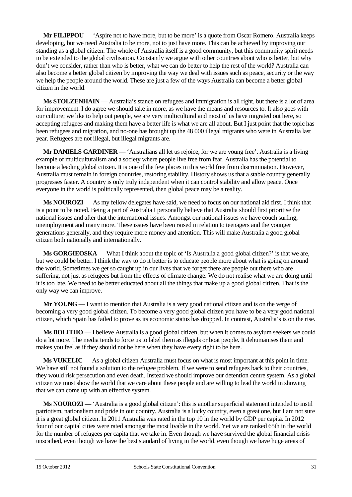**Mr FILIPPOU** — 'Aspire not to have more, but to be more' is a quote from Oscar Romero. Australia keeps developing, but we need Australia to be more, not to just have more. This can be achieved by improving our standing as a global citizen. The whole of Australia itself is a good community, but this community spirit needs to be extended to the global civilisation. Constantly we argue with other countries about who is better, but why don't we consider, rather than who is better, what we can do better to help the rest of the world? Australia can also become a better global citizen by improving the way we deal with issues such as peace, security or the way we help the people around the world. These are just a few of the ways Australia can become a better global citizen in the world.

**Ms STOLZENHAIN** — Australia's stance on refugees and immigration is all right, but there is a lot of area for improvement. I do agree we should take in more, as we have the means and resources to. It also goes with our culture; we like to help out people, we are very multicultural and most of us have migrated out here, so accepting refugees and making them have a better life is what we are all about. But I just point that the topic has been refugees and migration, and no-one has brought up the 48 000 illegal migrants who were in Australia last year. Refugees are not illegal, but illegal migrants are.

**Mr DANIELS GARDINER** — 'Australians all let us rejoice, for we are young free'. Australia is a living example of multiculturalism and a society where people live free from fear. Australia has the potential to become a leading global citizen. It is one of the few places in this world free from discrimination. However, Australia must remain in foreign countries, restoring stability. History shows us that a stable country generally progresses faster. A country is only truly independent when it can control stability and allow peace. Once everyone in the world is politically represented, then global peace may be a reality.

**Ms NOUROZI** — As my fellow delegates have said, we need to focus on our national aid first. I think that is a point to be noted. Being a part of Australia I personally believe that Australia should first prioritise the national issues and after that the international issues. Amongst our national issues we have couch surfing, unemployment and many more. These issues have been raised in relation to teenagers and the younger generations generally, and they require more money and attention. This will make Australia a good global citizen both nationally and internationally.

**Ms GORGIEOSKA** — What I think about the topic of 'Is Australia a good global citizen?' is that we are, but we could be better. I think the way to do it better is to educate people more about what is going on around the world. Sometimes we get so caught up in our lives that we forget there are people out there who are suffering, not just as refugees but from the effects of climate change. We do not realise what we are doing until it is too late. We need to be better educated about all the things that make up a good global citizen. That is the only way we can improve.

**Mr YOUNG** — I want to mention that Australia is a very good national citizen and is on the verge of becoming a very good global citizen. To become a very good global citizen you have to be a very good national citizen, which Spain has failed to prove as its economic status has dropped. In contrast, Australia's is on the rise.

**Ms BOLITHO** — I believe Australia is a good global citizen, but when it comes to asylum seekers we could do a lot more. The media tends to force us to label them as illegals or boat people. It dehumanises them and makes you feel as if they should not be here when they have every right to be here.

**Ms VUKELIC** — As a global citizen Australia must focus on what is most important at this point in time. We have still not found a solution to the refugee problem. If we were to send refugees back to their countries, they would risk persecution and even death. Instead we should improve our detention centre system. As a global citizen we must show the world that we care about these people and are willing to lead the world in showing that we can come up with an effective system.

**Ms NOUROZI** — 'Australia is a good global citizen': this is another superficial statement intended to instil patriotism, nationalism and pride in our country. Australia is a lucky country, even a great one, but I am not sure it is a great global citizen. In 2011 Australia was rated in the top 10 in the world by GDP per capita. In 2012 four of our capital cities were rated amongst the most livable in the world. Yet we are ranked 65th in the world for the number of refugees per capita that we take in. Even though we have survived the global financial crisis unscathed, even though we have the best standard of living in the world, even though we have huge areas of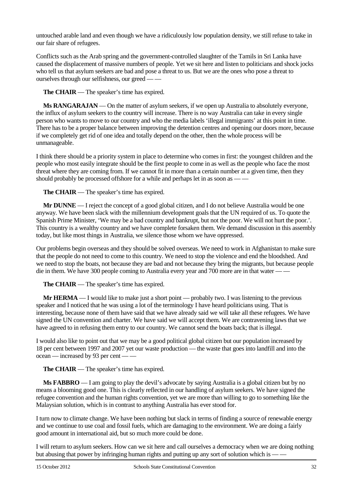untouched arable land and even though we have a ridiculously low population density, we still refuse to take in our fair share of refugees.

Conflicts such as the Arab spring and the government-controlled slaughter of the Tamils in Sri Lanka have caused the displacement of massive numbers of people. Yet we sit here and listen to politicians and shock jocks who tell us that asylum seekers are bad and pose a threat to us. But we are the ones who pose a threat to ourselves through our selfishness, our greed — —

**The CHAIR** — The speaker's time has expired.

**Ms RANGARAJAN** — On the matter of asylum seekers, if we open up Australia to absolutely everyone, the influx of asylum seekers to the country will increase. There is no way Australia can take in every single person who wants to move to our country and who the media labels 'illegal immigrants' at this point in time. There has to be a proper balance between improving the detention centres and opening our doors more, because if we completely get rid of one idea and totally depend on the other, then the whole process will be unmanageable.

I think there should be a priority system in place to determine who comes in first: the youngest children and the people who most easily integrate should be the first people to come in as well as the people who face the most threat where they are coming from. If we cannot fit in more than a certain number at a given time, then they should probably be processed offshore for a while and perhaps let in as soon as — —

**The CHAIR** — The speaker's time has expired.

**Mr DUNNE** — I reject the concept of a good global citizen, and I do not believe Australia would be one anyway. We have been slack with the millennium development goals that the UN required of us. To quote the Spanish Prime Minister, 'We may be a bad country and bankrupt, but not the poor. We will not hurt the poor.'. This country is a wealthy country and we have complete forsaken them. We demand discussion in this assembly today, but like most things in Australia, we silence those whom we have oppressed.

Our problems begin overseas and they should be solved overseas. We need to work in Afghanistan to make sure that the people do not need to come to this country. We need to stop the violence and end the bloodshed. And we need to stop the boats, not because they are bad and not because they bring the migrants, but because people die in them. We have 300 people coming to Australia every year and 700 more are in that water —

**The CHAIR** — The speaker's time has expired.

**Mr HERMA** — I would like to make just a short point — probably two. I was listening to the previous speaker and I noticed that he was using a lot of the terminology I have heard politicians using. That is interesting, because none of them have said that we have already said we will take all these refugees. We have signed the UN convention and charter. We have said we will accept them. We are contravening laws that we have agreed to in refusing them entry to our country. We cannot send the boats back; that is illegal.

I would also like to point out that we may be a good political global citizen but our population increased by 18 per cent between 1997 and 2007 yet our waste production — the waste that goes into landfill and into the ocean — increased by 93 per cent — —

**The CHAIR** — The speaker's time has expired.

**Ms FABBRO** — I am going to play the devil's advocate by saying Australia is a global citizen but by no means a blooming good one. This is clearly reflected in our handling of asylum seekers. We have signed the refugee convention and the human rights convention, yet we are more than willing to go to something like the Malaysian solution, which is in contrast to anything Australia has ever stood for.

I turn now to climate change. We have been nothing but slack in terms of finding a source of renewable energy and we continue to use coal and fossil fuels, which are damaging to the environment. We are doing a fairly good amount in international aid, but so much more could be done.

I will return to asylum seekers. How can we sit here and call ourselves a democracy when we are doing nothing but abusing that power by infringing human rights and putting up any sort of solution which is — —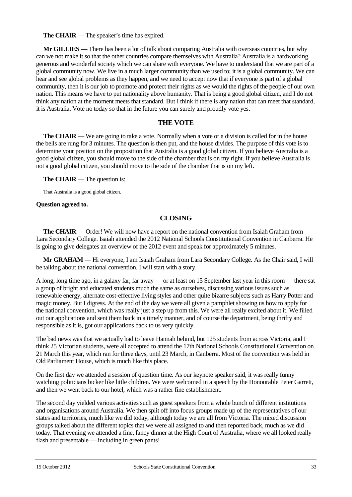**The CHAIR** — The speaker's time has expired.

**Mr GILLIES** — There has been a lot of talk about comparing Australia with overseas countries, but why can we not make it so that the other countries compare themselves with Australia? Australia is a hardworking, generous and wonderful society which we can share with everyone. We have to understand that we are part of a global community now. We live in a much larger community than we used to; it is a global community. We can hear and see global problems as they happen, and we need to accept now that if everyone is part of a global community, then it is our job to promote and protect their rights as we would the rights of the people of our own nation. This means we have to put nationality above humanity. That is being a good global citizen, and I do not think any nation at the moment meets that standard. But I think if there is any nation that can meet that standard, it is Australia. Vote no today so that in the future you can surely and proudly vote yes.

## **THE VOTE**

**The CHAIR** — We are going to take a vote. Normally when a vote or a division is called for in the house the bells are rung for 3 minutes. The question is then put, and the house divides. The purpose of this vote is to determine your position on the proposition that Australia is a good global citizen. If you believe Australia is a good global citizen, you should move to the side of the chamber that is on my right. If you believe Australia is not a good global citizen, you should move to the side of the chamber that is on my left.

**The CHAIR** — The question is:

That Australia is a good global citizen.

#### **Question agreed to.**

## **CLOSING**

**The CHAIR** — Order! We will now have a report on the national convention from Isaiah Graham from Lara Secondary College. Isaiah attended the 2012 National Schools Constitutional Convention in Canberra. He is going to give delegates an overview of the 2012 event and speak for approximately 5 minutes.

**Mr GRAHAM** — Hi everyone, I am Isaiah Graham from Lara Secondary College. As the Chair said, I will be talking about the national convention. I will start with a story.

A long, long time ago, in a galaxy far, far away — or at least on 15 September last year in this room — there sat a group of bright and educated students much the same as ourselves, discussing various issues such as renewable energy, alternate cost-effective living styles and other quite bizarre subjects such as Harry Potter and magic money. But I digress. At the end of the day we were all given a pamphlet showing us how to apply for the national convention, which was really just a step up from this. We were all really excited about it. We filled out our applications and sent them back in a timely manner, and of course the department, being thrifty and responsible as it is, got our applications back to us very quickly.

The bad news was that we actually had to leave Hannah behind, but 125 students from across Victoria, and I think 25 Victorian students, were all accepted to attend the 17th National Schools Constitutional Convention on 21 March this year, which ran for three days, until 23 March, in Canberra. Most of the convention was held in Old Parliament House, which is much like this place.

On the first day we attended a session of question time. As our keynote speaker said, it was really funny watching politicians bicker like little children. We were welcomed in a speech by the Honourable Peter Garrett, and then we went back to our hotel, which was a rather fine establishment.

The second day yielded various activities such as guest speakers from a whole bunch of different institutions and organisations around Australia. We then split off into focus groups made up of the representatives of our states and territories, much like we did today, although today we are all from Victoria. The mixed discussion groups talked about the different topics that we were all assigned to and then reported back, much as we did today. That evening we attended a fine, fancy dinner at the High Court of Australia, where we all looked really flash and presentable — including in green pants!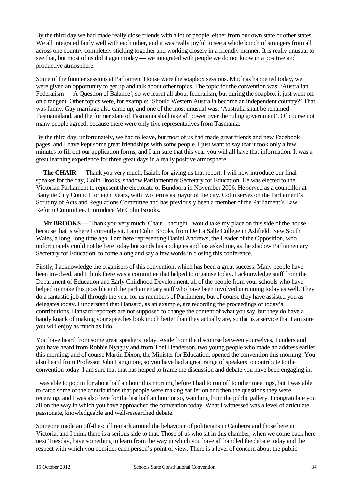By the third day we had made really close friends with a lot of people, either from our own state or other states. We all integrated fairly well with each other, and it was really joyful to see a whole bunch of strangers from all across one country completely sticking together and working closely in a friendly manner. It is really unusual to see that, but most of us did it again today — we integrated with people we do not know in a positive and productive atmosphere.

Some of the funnier sessions at Parliament House were the soapbox sessions. Much as happened today, we were given an opportunity to get up and talk about other topics. The topic for the convention was: 'Australian Federalism — A Question of Balance', so we learnt all about federalism, but during the soapbox it just went off on a tangent. Other topics were, for example: 'Should Western Australia become an independent country?' That was funny. Gay marriage also came up, and one of the most unusual was: 'Australia shalt be renamed Tasmanialand, and the former state of Tasmania shall take all power over the ruling government'. Of course not many people agreed, because there were only five representatives from Tasmania.

By the third day, unfortunately, we had to leave, but most of us had made great friends and new Facebook pages, and I have kept some great friendships with some people. I just want to say that it took only a few minutes to fill out our application forms, and I am sure that this year you will all have that information. It was a great learning experience for three great days in a really positive atmosphere.

**The CHAIR** — Thank you very much, Isaiah, for giving us that report. I will now introduce our final speaker for the day, Colin Brooks, shadow Parliamentary Secretary for Education. He was elected to the Victorian Parliament to represent the electorate of Bundoora in November 2006. He served as a councillor at Banyule City Council for eight years, with two terms as mayor of the city. Colin serves on the Parliament's Scrutiny of Acts and Regulations Committee and has previously been a member of the Parliament's Law Reform Committee. I introduce Mr Colin Brooks.

**Mr BROOKS** — Thank you very much, Chair. I thought I would take my place on this side of the house because that is where I currently sit. I am Colin Brooks, from De La Salle College in Ashfield, New South Wales, a long, long time ago. I am here representing Daniel Andrews, the Leader of the Opposition, who unfortunately could not be here today but sends his apologies and has asked me, as the shadow Parliamentary Secretary for Education, to come along and say a few words in closing this conference.

Firstly, I acknowledge the organisers of this convention, which has been a great success. Many people have been involved, and I think there was a committee that helped to organise today. I acknowledge staff from the Department of Education and Early Childhood Development, all of the people from your schools who have helped to make this possible and the parliamentary staff who have been involved in running today as well. They do a fantastic job all through the year for us members of Parliament, but of course they have assisted you as delegates today. I understand that Hansard, as an example, are recording the proceedings of today's contributions. Hansard reporters are not supposed to change the content of what you say, but they do have a handy knack of making your speeches look much better than they actually are, so that is a service that I am sure you will enjoy as much as I do.

You have heard from some great speakers today. Aside from the discourse between yourselves, I understand you have heard from Robbie Nyaguy and from Toni Henderson, two young people who made an address earlier this morning, and of course Martin Dixon, the Minister for Education, opened the convention this morning. You also heard from Professor John Langmore, so you have had a great range of speakers to contribute to the convention today. I am sure that that has helped to frame the discussion and debate you have been engaging in.

I was able to pop in for about half an hour this morning before I had to run off to other meetings, but I was able to catch some of the contributions that people were making earlier on and then the questions they were receiving, and I was also here for the last half an hour or so, watching from the public gallery. I congratulate you all on the way in which you have approached the convention today. What I witnessed was a level of articulate, passionate, knowledgeable and well-researched debate.

Someone made an off-the-cuff remark around the behaviour of politicians in Canberra and those here in Victoria, and I think there is a serious side to that. Those of us who sit in this chamber, when we come back here next Tuesday, have something to learn from the way in which you have all handled the debate today and the respect with which you consider each person's point of view. There is a level of concern about the public